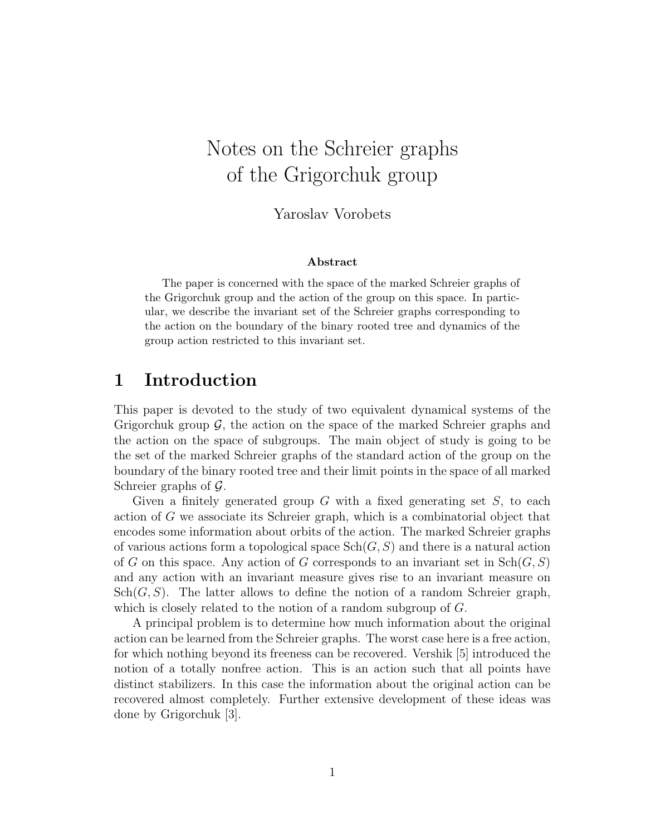# Notes on the Schreier graphs of the Grigorchuk group

Yaroslav Vorobets

#### Abstract

The paper is concerned with the space of the marked Schreier graphs of the Grigorchuk group and the action of the group on this space. In particular, we describe the invariant set of the Schreier graphs corresponding to the action on the boundary of the binary rooted tree and dynamics of the group action restricted to this invariant set.

## 1 Introduction

This paper is devoted to the study of two equivalent dynamical systems of the Grigorchuk group  $\mathcal{G}$ , the action on the space of the marked Schreier graphs and the action on the space of subgroups. The main object of study is going to be the set of the marked Schreier graphs of the standard action of the group on the boundary of the binary rooted tree and their limit points in the space of all marked Schreier graphs of  $\mathcal{G}$ .

Given a finitely generated group  $G$  with a fixed generating set  $S$ , to each action of G we associate its Schreier graph, which is a combinatorial object that encodes some information about orbits of the action. The marked Schreier graphs of various actions form a topological space  $\text{Sch}(G, S)$  and there is a natural action of G on this space. Any action of G corresponds to an invariant set in  $\text{Sch}(G, S)$ and any action with an invariant measure gives rise to an invariant measure on  $\operatorname{Sch}(G, S)$ . The latter allows to define the notion of a random Schreier graph, which is closely related to the notion of a random subgroup of G.

A principal problem is to determine how much information about the original action can be learned from the Schreier graphs. The worst case here is a free action, for which nothing beyond its freeness can be recovered. Vershik [5] introduced the notion of a totally nonfree action. This is an action such that all points have distinct stabilizers. In this case the information about the original action can be recovered almost completely. Further extensive development of these ideas was done by Grigorchuk [3].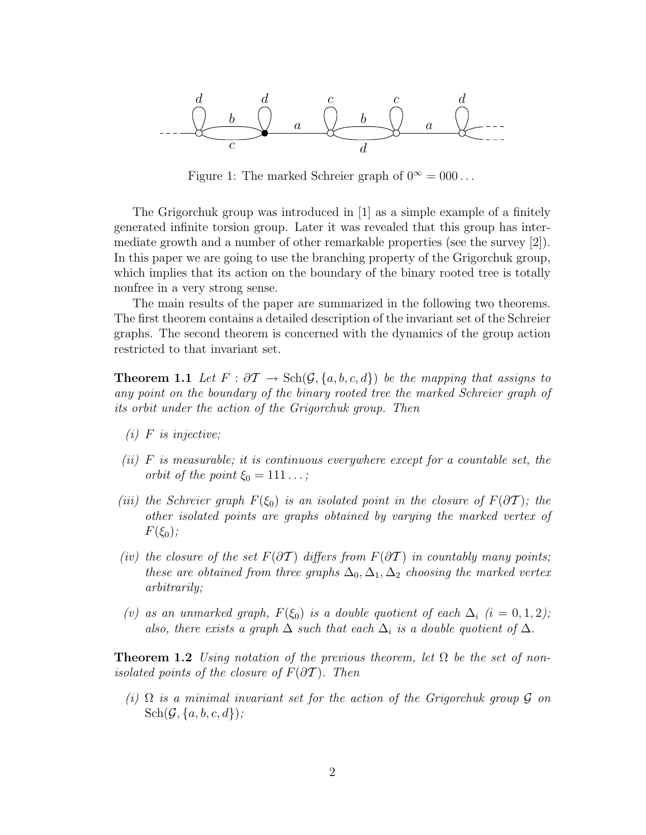

Figure 1: The marked Schreier graph of  $0^{\infty} = 000...$ 

The Grigorchuk group was introduced in [1] as a simple example of a finitely generated infinite torsion group. Later it was revealed that this group has intermediate growth and a number of other remarkable properties (see the survey [2]). In this paper we are going to use the branching property of the Grigorchuk group, which implies that its action on the boundary of the binary rooted tree is totally nonfree in a very strong sense.

The main results of the paper are summarized in the following two theorems. The first theorem contains a detailed description of the invariant set of the Schreier graphs. The second theorem is concerned with the dynamics of the group action restricted to that invariant set.

**Theorem 1.1** Let  $F : \partial \mathcal{T} \to \text{Sch}(\mathcal{G}, \{a, b, c, d\})$  be the mapping that assigns to any point on the boundary of the binary rooted tree the marked Schreier graph of its orbit under the action of the Grigorchuk group. Then

- $(i)$  F is injective;
- (ii)  $F$  is measurable; it is continuous everywhere except for a countable set, the orbit of the point  $\xi_0 = 111 \ldots$ ;
- (iii) the Schreier graph  $F(\xi_0)$  is an isolated point in the closure of  $F(\partial T)$ ; the other isolated points are graphs obtained by varying the marked vertex of  $F(\xi_0);$
- (iv) the closure of the set  $F(\partial \mathcal{T})$  differs from  $F(\partial \mathcal{T})$  in countably many points; these are obtained from three graphs  $\Delta_0$ ,  $\Delta_1$ ,  $\Delta_2$  choosing the marked vertex arbitrarily;
- (v) as an unmarked graph,  $F(\xi_0)$  is a double quotient of each  $\Delta_i$  (i = 0, 1, 2); also, there exists a graph  $\Delta$  such that each  $\Delta_i$  is a double quotient of  $\Delta$ .

**Theorem 1.2** Using notation of the previous theorem, let  $\Omega$  be the set of nonisolated points of the closure of  $F(\partial \mathcal{T})$ . Then

(i)  $\Omega$  is a minimal invariant set for the action of the Grigorchuk group G on  $\text{Sch}(\mathcal{G}, \{a, b, c, d\})$ ;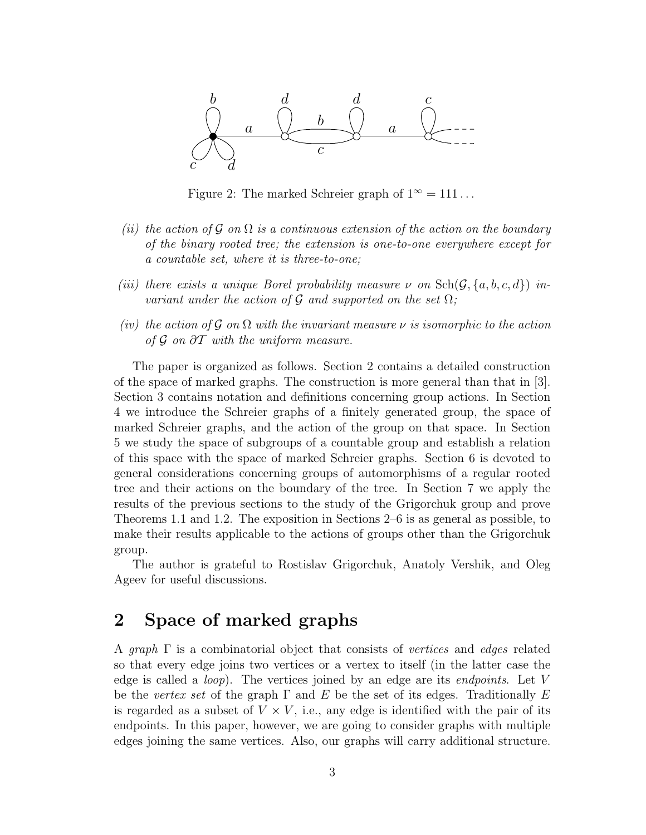

Figure 2: The marked Schreier graph of  $1^{\infty} = 111...$ 

- (ii) the action of G on  $\Omega$  is a continuous extension of the action on the boundary of the binary rooted tree; the extension is one-to-one everywhere except for a countable set, where it is three-to-one;
- (iii) there exists a unique Borel probability measure  $\nu$  on  $\text{Sch}(\mathcal{G}, \{a, b, c, d\})$  invariant under the action of  $\mathcal G$  and supported on the set  $\Omega$ ;
- (iv) the action of G on  $\Omega$  with the invariant measure  $\nu$  is isomorphic to the action of  $\mathcal G$  on  $\partial \mathcal T$  with the uniform measure.

The paper is organized as follows. Section 2 contains a detailed construction of the space of marked graphs. The construction is more general than that in [3]. Section 3 contains notation and definitions concerning group actions. In Section 4 we introduce the Schreier graphs of a finitely generated group, the space of marked Schreier graphs, and the action of the group on that space. In Section 5 we study the space of subgroups of a countable group and establish a relation of this space with the space of marked Schreier graphs. Section 6 is devoted to general considerations concerning groups of automorphisms of a regular rooted tree and their actions on the boundary of the tree. In Section 7 we apply the results of the previous sections to the study of the Grigorchuk group and prove Theorems 1.1 and 1.2. The exposition in Sections 2–6 is as general as possible, to make their results applicable to the actions of groups other than the Grigorchuk group.

The author is grateful to Rostislav Grigorchuk, Anatoly Vershik, and Oleg Ageev for useful discussions.

## 2 Space of marked graphs

A graph  $\Gamma$  is a combinatorial object that consists of vertices and edges related so that every edge joins two vertices or a vertex to itself (in the latter case the edge is called a *loop*). The vertices joined by an edge are its *endpoints*. Let  $V$ be the vertex set of the graph  $\Gamma$  and E be the set of its edges. Traditionally E is regarded as a subset of  $V \times V$ , i.e., any edge is identified with the pair of its endpoints. In this paper, however, we are going to consider graphs with multiple edges joining the same vertices. Also, our graphs will carry additional structure.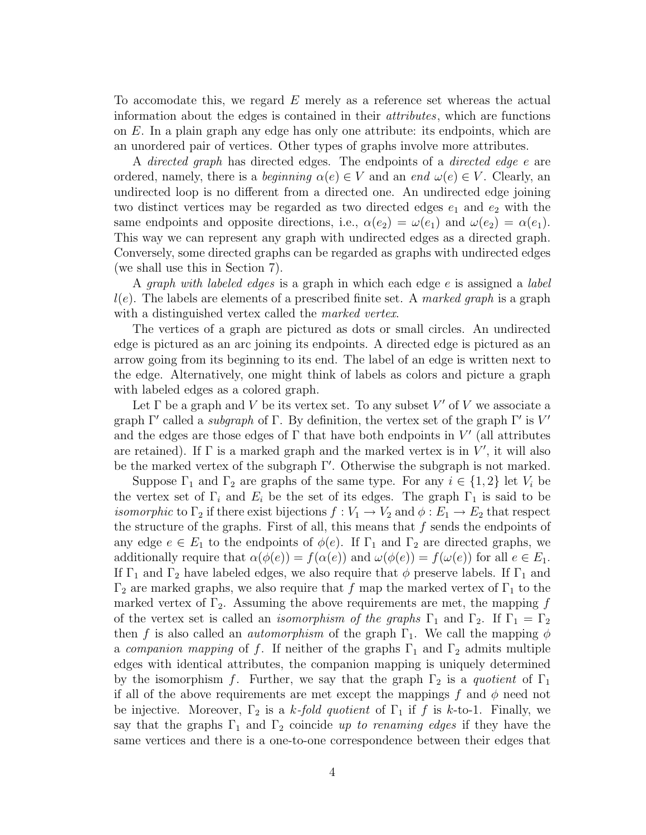To accomodate this, we regard E merely as a reference set whereas the actual information about the edges is contained in their attributes, which are functions on E. In a plain graph any edge has only one attribute: its endpoints, which are an unordered pair of vertices. Other types of graphs involve more attributes.

A directed graph has directed edges. The endpoints of a directed edge e are ordered, namely, there is a *beginning*  $\alpha(e) \in V$  and an end  $\omega(e) \in V$ . Clearly, an undirected loop is no different from a directed one. An undirected edge joining two distinct vertices may be regarded as two directed edges  $e_1$  and  $e_2$  with the same endpoints and opposite directions, i.e.,  $\alpha(e_2) = \omega(e_1)$  and  $\omega(e_2) = \alpha(e_1)$ . This way we can represent any graph with undirected edges as a directed graph. Conversely, some directed graphs can be regarded as graphs with undirected edges (we shall use this in Section 7).

A graph with labeled edges is a graph in which each edge e is assigned a label  $l(e)$ . The labels are elements of a prescribed finite set. A *marked graph* is a graph with a distinguished vertex called the *marked vertex*.

The vertices of a graph are pictured as dots or small circles. An undirected edge is pictured as an arc joining its endpoints. A directed edge is pictured as an arrow going from its beginning to its end. The label of an edge is written next to the edge. Alternatively, one might think of labels as colors and picture a graph with labeled edges as a colored graph.

Let  $\Gamma$  be a graph and V be its vertex set. To any subset  $V'$  of V we associate a graph  $\Gamma'$  called a *subgraph* of  $\Gamma$ . By definition, the vertex set of the graph  $\Gamma'$  is  $V'$ and the edges are those edges of  $\Gamma$  that have both endpoints in  $V'$  (all attributes are retained). If  $\Gamma$  is a marked graph and the marked vertex is in  $V'$ , it will also be the marked vertex of the subgraph Γ′ . Otherwise the subgraph is not marked.

Suppose  $\Gamma_1$  and  $\Gamma_2$  are graphs of the same type. For any  $i \in \{1,2\}$  let  $V_i$  be the vertex set of  $\Gamma_i$  and  $E_i$  be the set of its edges. The graph  $\Gamma_1$  is said to be *isomorphic* to  $\Gamma_2$  if there exist bijections  $f: V_1 \to V_2$  and  $\phi: E_1 \to E_2$  that respect the structure of the graphs. First of all, this means that  $f$  sends the endpoints of any edge  $e \in E_1$  to the endpoints of  $\phi(e)$ . If  $\Gamma_1$  and  $\Gamma_2$  are directed graphs, we additionally require that  $\alpha(\phi(e)) = f(\alpha(e))$  and  $\omega(\phi(e)) = f(\omega(e))$  for all  $e \in E_1$ . If  $\Gamma_1$  and  $\Gamma_2$  have labeled edges, we also require that  $\phi$  preserve labels. If  $\Gamma_1$  and  $\Gamma_2$  are marked graphs, we also require that f map the marked vertex of  $\Gamma_1$  to the marked vertex of  $\Gamma_2$ . Assuming the above requirements are met, the mapping f of the vertex set is called an *isomorphism of the graphs*  $\Gamma_1$  and  $\Gamma_2$ . If  $\Gamma_1 = \Gamma_2$ then f is also called an *automorphism* of the graph  $\Gamma_1$ . We call the mapping  $\phi$ a companion mapping of f. If neither of the graphs  $\Gamma_1$  and  $\Gamma_2$  admits multiple edges with identical attributes, the companion mapping is uniquely determined by the isomorphism f. Further, we say that the graph  $\Gamma_2$  is a quotient of  $\Gamma_1$ if all of the above requirements are met except the mappings f and  $\phi$  need not be injective. Moreover,  $\Gamma_2$  is a k-fold quotient of  $\Gamma_1$  if f is k-to-1. Finally, we say that the graphs  $\Gamma_1$  and  $\Gamma_2$  coincide up to renaming edges if they have the same vertices and there is a one-to-one correspondence between their edges that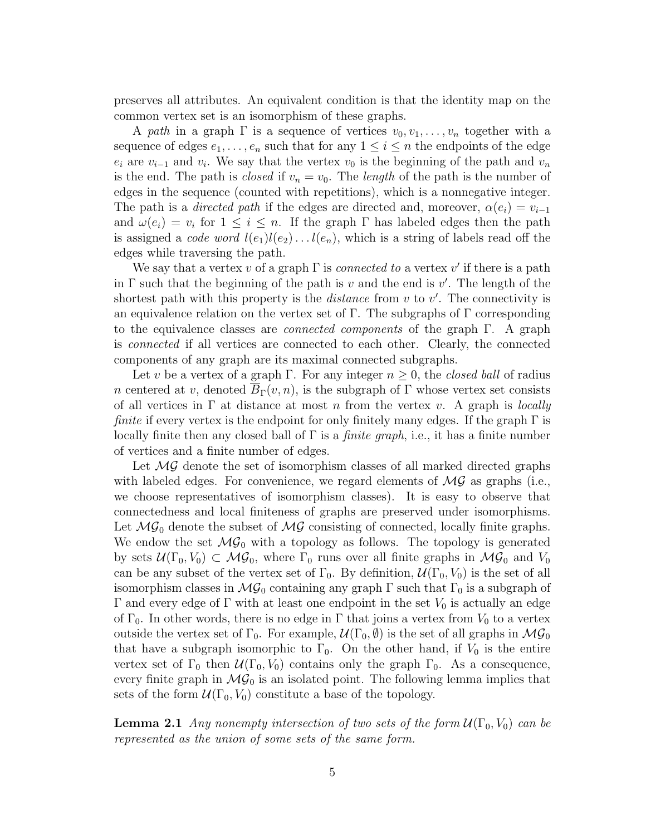preserves all attributes. An equivalent condition is that the identity map on the common vertex set is an isomorphism of these graphs.

A path in a graph  $\Gamma$  is a sequence of vertices  $v_0, v_1, \ldots, v_n$  together with a sequence of edges  $e_1, \ldots, e_n$  such that for any  $1 \leq i \leq n$  the endpoints of the edge  $e_i$  are  $v_{i-1}$  and  $v_i$ . We say that the vertex  $v_0$  is the beginning of the path and  $v_n$ is the end. The path is *closed* if  $v_n = v_0$ . The *length* of the path is the number of edges in the sequence (counted with repetitions), which is a nonnegative integer. The path is a *directed path* if the edges are directed and, moreover,  $\alpha(e_i) = v_{i-1}$ and  $\omega(e_i) = v_i$  for  $1 \leq i \leq n$ . If the graph  $\Gamma$  has labeled edges then the path is assigned a *code word*  $l(e_1)l(e_2)...l(e_n)$ , which is a string of labels read off the edges while traversing the path.

We say that a vertex v of a graph  $\Gamma$  is *connected to* a vertex v' if there is a path in  $\Gamma$  such that the beginning of the path is v and the end is v'. The length of the shortest path with this property is the *distance* from  $v$  to  $v'$ . The connectivity is an equivalence relation on the vertex set of  $\Gamma$ . The subgraphs of  $\Gamma$  corresponding to the equivalence classes are connected components of the graph Γ. A graph is connected if all vertices are connected to each other. Clearly, the connected components of any graph are its maximal connected subgraphs.

Let v be a vertex of a graph Γ. For any integer  $n \geq 0$ , the *closed ball* of radius n centered at v, denoted  $\overline{B}_{\Gamma}(v,n)$ , is the subgraph of  $\Gamma$  whose vertex set consists of all vertices in  $\Gamma$  at distance at most n from the vertex v. A graph is *locally finite* if every vertex is the endpoint for only finitely many edges. If the graph  $\Gamma$  is locally finite then any closed ball of  $\Gamma$  is a *finite graph*, i.e., it has a finite number of vertices and a finite number of edges.

Let  $\mathcal{MG}$  denote the set of isomorphism classes of all marked directed graphs with labeled edges. For convenience, we regard elements of  $\mathcal{MG}$  as graphs (i.e., we choose representatives of isomorphism classes). It is easy to observe that connectedness and local finiteness of graphs are preserved under isomorphisms. Let  $MG_0$  denote the subset of  $MG$  consisting of connected, locally finite graphs. We endow the set  $\mathcal{MG}_0$  with a topology as follows. The topology is generated by sets  $U(\Gamma_0, V_0) \subset \mathcal{MG}_0$ , where  $\Gamma_0$  runs over all finite graphs in  $\mathcal{MG}_0$  and  $V_0$ can be any subset of the vertex set of  $\Gamma_0$ . By definition,  $\mathcal{U}(\Gamma_0, V_0)$  is the set of all isomorphism classes in  $\mathcal{MG}_0$  containing any graph  $\Gamma$  such that  $\Gamma_0$  is a subgraph of Γ and every edge of Γ with at least one endpoint in the set  $V_0$  is actually an edge of  $\Gamma_0$ . In other words, there is no edge in  $\Gamma$  that joins a vertex from  $V_0$  to a vertex outside the vertex set of  $\Gamma_0$ . For example,  $\mathcal{U}(\Gamma_0, \emptyset)$  is the set of all graphs in  $\mathcal{MG}_0$ that have a subgraph isomorphic to  $\Gamma_0$ . On the other hand, if  $V_0$  is the entire vertex set of  $\Gamma_0$  then  $\mathcal{U}(\Gamma_0, V_0)$  contains only the graph  $\Gamma_0$ . As a consequence, every finite graph in  $\mathcal{MG}_0$  is an isolated point. The following lemma implies that sets of the form  $\mathcal{U}(\Gamma_0, V_0)$  constitute a base of the topology.

**Lemma 2.1** Any nonempty intersection of two sets of the form  $\mathcal{U}(\Gamma_0,V_0)$  can be represented as the union of some sets of the same form.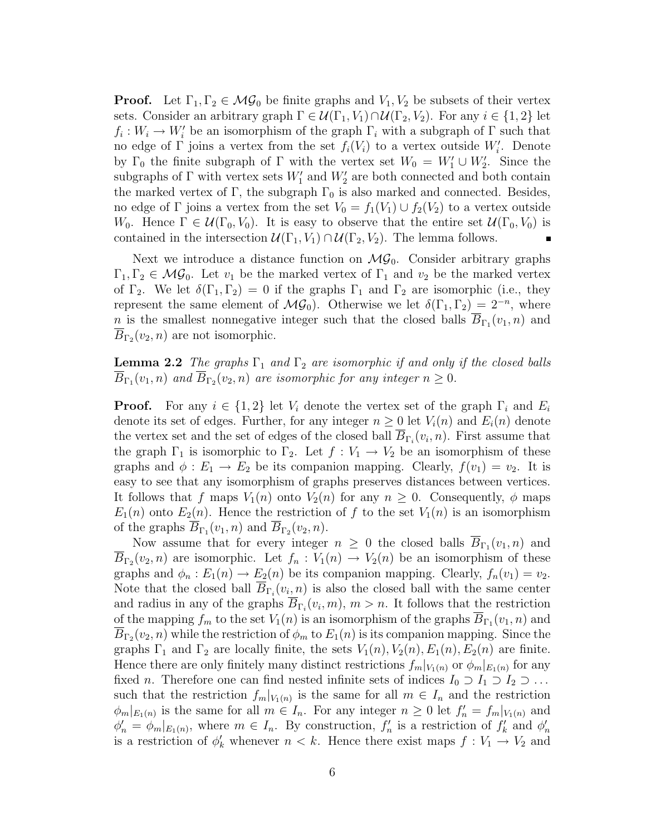**Proof.** Let  $\Gamma_1, \Gamma_2 \in \mathcal{MG}_0$  be finite graphs and  $V_1, V_2$  be subsets of their vertex sets. Consider an arbitrary graph  $\Gamma \in \mathcal{U}(\Gamma_1, V_1) \cap \mathcal{U}(\Gamma_2, V_2)$ . For any  $i \in \{1, 2\}$  let  $f_i: W_i \to W'_i$  be an isomorphism of the graph  $\Gamma_i$  with a subgraph of  $\Gamma$  such that no edge of  $\Gamma$  joins a vertex from the set  $f_i(V_i)$  to a vertex outside  $W'_i$ . Denote by  $\Gamma_0$  the finite subgraph of  $\Gamma$  with the vertex set  $W_0 = W'_1 \cup W'_2$ . Since the subgraphs of  $\Gamma$  with vertex sets  $W'_1$  and  $W'_2$  are both connected and both contain the marked vertex of  $\Gamma$ , the subgraph  $\Gamma_0$  is also marked and connected. Besides, no edge of  $\Gamma$  joins a vertex from the set  $V_0 = f_1(V_1) \cup f_2(V_2)$  to a vertex outside W<sub>0</sub>. Hence  $\Gamma \in \mathcal{U}(\Gamma_0, V_0)$ . It is easy to observe that the entire set  $\mathcal{U}(\Gamma_0, V_0)$  is contained in the intersection  $\mathcal{U}(\Gamma_1,V_1) \cap \mathcal{U}(\Gamma_2,V_2)$ . The lemma follows.

Next we introduce a distance function on  $MG_0$ . Consider arbitrary graphs  $\Gamma_1, \Gamma_2 \in \mathcal{MG}_0$ . Let  $v_1$  be the marked vertex of  $\Gamma_1$  and  $v_2$  be the marked vertex of  $\Gamma_2$ . We let  $\delta(\Gamma_1, \Gamma_2) = 0$  if the graphs  $\Gamma_1$  and  $\Gamma_2$  are isomorphic (i.e., they represent the same element of  $\mathcal{MG}_0$ ). Otherwise we let  $\delta(\Gamma_1, \Gamma_2) = 2^{-n}$ , where n is the smallest nonnegative integer such that the closed balls  $B_{\Gamma_1}(v_1, n)$  and  $B_{\Gamma_2}(v_2, n)$  are not isomorphic.

**Lemma 2.2** The graphs  $\Gamma_1$  and  $\Gamma_2$  are isomorphic if and only if the closed balls  $B_{\Gamma_1}(v_1,n)$  and  $B_{\Gamma_2}(v_2,n)$  are isomorphic for any integer  $n\geq 0$ .

**Proof.** For any  $i \in \{1,2\}$  let  $V_i$  denote the vertex set of the graph  $\Gamma_i$  and  $E_i$ denote its set of edges. Further, for any integer  $n \geq 0$  let  $V_i(n)$  and  $E_i(n)$  denote the vertex set and the set of edges of the closed ball  $B_{\Gamma_i}(v_i, n)$ . First assume that the graph  $\Gamma_1$  is isomorphic to  $\Gamma_2$ . Let  $f: V_1 \to V_2$  be an isomorphism of these graphs and  $\phi: E_1 \to E_2$  be its companion mapping. Clearly,  $f(v_1) = v_2$ . It is easy to see that any isomorphism of graphs preserves distances between vertices. It follows that f maps  $V_1(n)$  onto  $V_2(n)$  for any  $n \geq 0$ . Consequently,  $\phi$  maps  $E_1(n)$  onto  $E_2(n)$ . Hence the restriction of f to the set  $V_1(n)$  is an isomorphism of the graphs  $B_{\Gamma_1}(v_1, n)$  and  $B_{\Gamma_2}(v_2, n)$ .

Now assume that for every integer  $n \geq 0$  the closed balls  $B_{\Gamma_1}(v_1, n)$  and  $B_{\Gamma_2}(v_2,n)$  are isomorphic. Let  $f_n: V_1(n) \to V_2(n)$  be an isomorphism of these graphs and  $\phi_n : E_1(n) \to E_2(n)$  be its companion mapping. Clearly,  $f_n(v_1) = v_2$ . Note that the closed ball  $B_{\Gamma_i}(v_i, n)$  is also the closed ball with the same center and radius in any of the graphs  $B_{\Gamma_i}(v_i, m)$ ,  $m > n$ . It follows that the restriction of the mapping  $f_m$  to the set  $V_1(n)$  is an isomorphism of the graphs  $B_{\Gamma_1}(v_1,n)$  and  $B_{\Gamma_2}(v_2,n)$  while the restriction of  $\phi_m$  to  $E_1(n)$  is its companion mapping. Since the graphs  $\Gamma_1$  and  $\Gamma_2$  are locally finite, the sets  $V_1(n)$ ,  $V_2(n)$ ,  $E_1(n)$ ,  $E_2(n)$  are finite. Hence there are only finitely many distinct restrictions  $f_m|_{V_1(n)}$  or  $\phi_m|_{E_1(n)}$  for any fixed *n*. Therefore one can find nested infinite sets of indices  $I_0 \supset I_1 \supset I_2 \supset \ldots$ such that the restriction  $f_m|_{V_1(n)}$  is the same for all  $m \in I_n$  and the restriction  $\phi_m|_{E_1(n)}$  is the same for all  $m \in I_n$ . For any integer  $n \geq 0$  let  $f'_n = f_m|_{V_1(n)}$  and  $\phi'_n = \phi_m|_{E_1(n)}$ , where  $m \in I_n$ . By construction,  $f'_n$  is a restriction of  $f'_k$  and  $\phi'_n$ is a restriction of  $\phi'_k$  whenever  $n < k$ . Hence there exist maps  $f: V_1 \to V_2$  and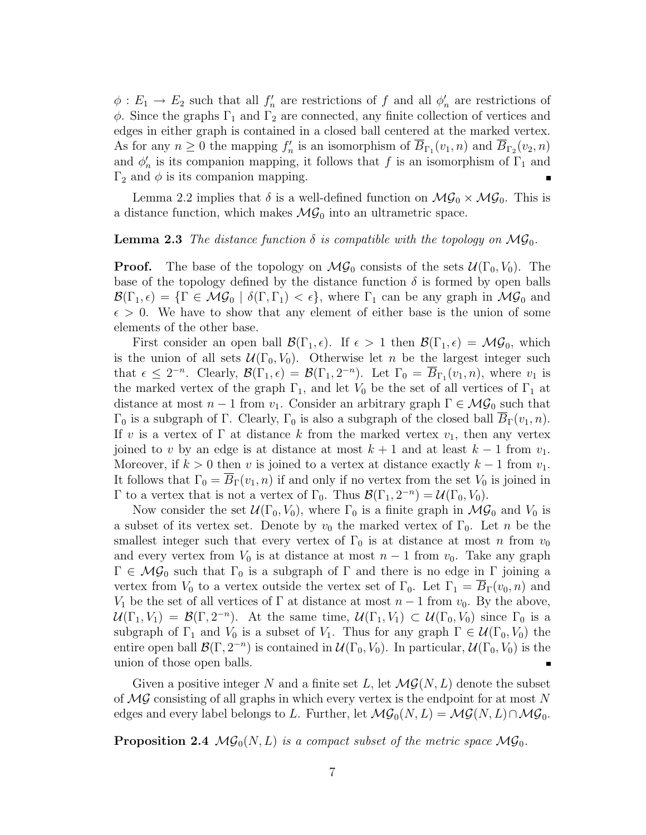$\phi: E_1 \to E_2$  such that all  $f'_n$  are restrictions of f and all  $\phi'_n$  are restrictions of  $\phi$ . Since the graphs  $\Gamma_1$  and  $\Gamma_2$  are connected, any finite collection of vertices and edges in either graph is contained in a closed ball centered at the marked vertex. As for any  $n \geq 0$  the mapping  $f'_n$  is an isomorphism of  $\overline{B}_{\Gamma_1}(v_1, n)$  and  $\overline{B}_{\Gamma_2}(v_2, n)$ and  $\phi'_n$  is its companion mapping, it follows that f is an isomorphism of  $\Gamma_1$  and  $\Gamma_2$  and  $\phi$  is its companion mapping.

Lemma 2.2 implies that  $\delta$  is a well-defined function on  $\mathcal{MG}_0 \times \mathcal{MG}_0$ . This is a distance function, which makes  $\mathcal{MG}_0$  into an ultrametric space.

#### **Lemma 2.3** The distance function  $\delta$  is compatible with the topology on  $\mathcal{MG}_0$ .

**Proof.** The base of the topology on  $\mathcal{MG}_0$  consists of the sets  $\mathcal{U}(\Gamma_0, V_0)$ . The base of the topology defined by the distance function  $\delta$  is formed by open balls  $\mathcal{B}(\Gamma_1,\epsilon) = \{\Gamma \in \mathcal{MG}_0 \mid \delta(\Gamma,\Gamma_1) < \epsilon\},\$  where  $\Gamma_1$  can be any graph in  $\mathcal{MG}_0$  and  $\epsilon > 0$ . We have to show that any element of either base is the union of some elements of the other base.

First consider an open ball  $\mathcal{B}(\Gamma_1,\epsilon)$ . If  $\epsilon > 1$  then  $\mathcal{B}(\Gamma_1,\epsilon) = \mathcal{MG}_0$ , which is the union of all sets  $\mathcal{U}(\Gamma_0, V_0)$ . Otherwise let n be the largest integer such that  $\epsilon \leq 2^{-n}$ . Clearly,  $\mathcal{B}(\Gamma_1, \epsilon) = \mathcal{B}(\Gamma_1, 2^{-n})$ . Let  $\Gamma_0 = \overline{B}_{\Gamma_1}(v_1, n)$ , where  $v_1$  is the marked vertex of the graph  $\Gamma_1$ , and let  $V_0$  be the set of all vertices of  $\Gamma_1$  at distance at most  $n-1$  from  $v_1$ . Consider an arbitrary graph  $\Gamma \in \mathcal{MG}_0$  such that  $\Gamma_0$  is a subgraph of Γ. Clearly,  $\Gamma_0$  is also a subgraph of the closed ball  $B_\Gamma(v_1,n)$ . If v is a vertex of  $\Gamma$  at distance k from the marked vertex  $v_1$ , then any vertex joined to v by an edge is at distance at most  $k + 1$  and at least  $k - 1$  from  $v_1$ . Moreover, if  $k > 0$  then v is joined to a vertex at distance exactly  $k - 1$  from  $v_1$ . It follows that  $\Gamma_0 = B_{\Gamma}(v_1, n)$  if and only if no vertex from the set  $V_0$  is joined in Γ to a vertex that is not a vertex of Γ<sub>0</sub>. Thus  $\mathcal{B}(\Gamma_1, 2^{-n}) = \mathcal{U}(\Gamma_0, V_0)$ .

Now consider the set  $U(\Gamma_0, V_0)$ , where  $\Gamma_0$  is a finite graph in  $\mathcal{MG}_0$  and  $V_0$  is a subset of its vertex set. Denote by  $v_0$  the marked vertex of  $\Gamma_0$ . Let n be the smallest integer such that every vertex of  $\Gamma_0$  is at distance at most n from  $v_0$ and every vertex from  $V_0$  is at distance at most  $n-1$  from  $v_0$ . Take any graph  $\Gamma \in \mathcal{MG}_0$  such that  $\Gamma_0$  is a subgraph of  $\Gamma$  and there is no edge in  $\Gamma$  joining a vertex from  $V_0$  to a vertex outside the vertex set of  $\Gamma_0$ . Let  $\Gamma_1 = B_{\Gamma}(v_0, n)$  and V<sub>1</sub> be the set of all vertices of  $\Gamma$  at distance at most  $n-1$  from  $v_0$ . By the above,  $\mathcal{U}(\Gamma_1, V_1) = \mathcal{B}(\Gamma, 2^{-n})$ . At the same time,  $\mathcal{U}(\Gamma_1, V_1) \subset \mathcal{U}(\Gamma_0, V_0)$  since  $\Gamma_0$  is a subgraph of  $\Gamma_1$  and  $V_0$  is a subset of  $V_1$ . Thus for any graph  $\Gamma \in \mathcal{U}(\Gamma_0, V_0)$  the entire open ball  $\mathcal{B}(\Gamma, 2^{-n})$  is contained in  $\mathcal{U}(\Gamma_0, V_0)$ . In particular,  $\mathcal{U}(\Gamma_0, V_0)$  is the union of those open balls.  $\blacksquare$ 

Given a positive integer N and a finite set L, let  $\mathcal{MG}(N,L)$  denote the subset of  $\mathcal{MG}$  consisting of all graphs in which every vertex is the endpoint for at most N edges and every label belongs to L. Further, let  $\mathcal{MG}_0(N,L) = \mathcal{MG}(N,L) \cap \mathcal{MG}_0$ .

**Proposition 2.4**  $\mathcal{MG}_0(N,L)$  is a compact subset of the metric space  $\mathcal{MG}_0$ .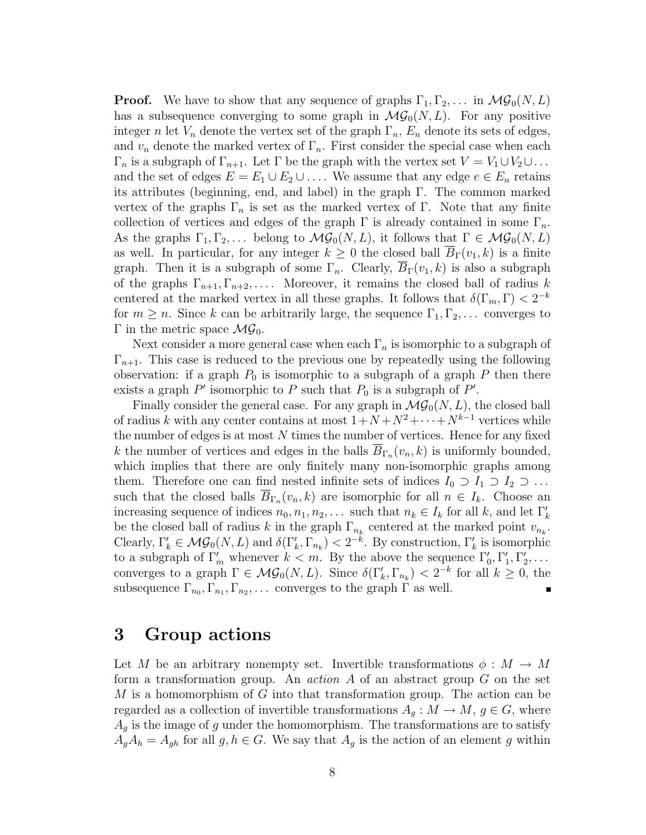**Proof.** We have to show that any sequence of graphs  $\Gamma_1, \Gamma_2, \ldots$  in  $\mathcal{MG}_0(N,L)$ has a subsequence converging to some graph in  $\mathcal{MG}_0(N,L)$ . For any positive integer n let  $V_n$  denote the vertex set of the graph  $\Gamma_n$ ,  $E_n$  denote its sets of edges, and  $v_n$  denote the marked vertex of  $\Gamma_n$ . First consider the special case when each  $\Gamma_n$  is a subgraph of  $\Gamma_{n+1}$ . Let  $\Gamma$  be the graph with the vertex set  $V = V_1 \cup V_2 \cup \dots$ and the set of edges  $E = E_1 \cup E_2 \cup \ldots$ . We assume that any edge  $e \in E_n$  retains its attributes (beginning, end, and label) in the graph Γ. The common marked vertex of the graphs  $\Gamma_n$  is set as the marked vertex of  $\Gamma$ . Note that any finite collection of vertices and edges of the graph  $\Gamma$  is already contained in some  $\Gamma_n$ . As the graphs  $\Gamma_1, \Gamma_2, \ldots$  belong to  $\mathcal{MG}_0(N,L)$ , it follows that  $\Gamma \in \mathcal{MG}_0(N,L)$ as well. In particular, for any integer  $k \geq 0$  the closed ball  $\overline{B}_{\Gamma}(v_1,k)$  is a finite graph. Then it is a subgraph of some  $\Gamma_n$ . Clearly,  $\overline{B}_{\Gamma}(v_1,k)$  is also a subgraph of the graphs  $\Gamma_{n+1}, \Gamma_{n+2}, \ldots$ . Moreover, it remains the closed ball of radius k centered at the marked vertex in all these graphs. It follows that  $\delta(\Gamma_m, \Gamma) < 2^{-k}$ for  $m \geq n$ . Since k can be arbitrarily large, the sequence  $\Gamma_1, \Gamma_2, \ldots$  converges to Γ in the metric space  $\mathcal{MG}_0$ .

Next consider a more general case when each  $\Gamma_n$  is isomorphic to a subgraph of  $\Gamma_{n+1}$ . This case is reduced to the previous one by repeatedly using the following observation: if a graph  $P_0$  is isomorphic to a subgraph of a graph P then there exists a graph  $P'$  isomorphic to P such that  $P_0$  is a subgraph of P'.

Finally consider the general case. For any graph in  $\mathcal{MG}_0(N,L)$ , the closed ball of radius k with any center contains at most  $1+N+N^2+\cdots+N^{k-1}$  vertices while the number of edges is at most  $N$  times the number of vertices. Hence for any fixed k the number of vertices and edges in the balls  $B_{\Gamma_n}(v_n, k)$  is uniformly bounded, which implies that there are only finitely many non-isomorphic graphs among them. Therefore one can find nested infinite sets of indices  $I_0 \supset I_1 \supset I_2 \supset \ldots$ such that the closed balls  $B_{\Gamma_n}(v_n, k)$  are isomorphic for all  $n \in I_k$ . Choose an increasing sequence of indices  $n_0, n_1, n_2, \ldots$  such that  $n_k \in I_k$  for all k, and let  $\Gamma'_k$ be the closed ball of radius k in the graph  $\Gamma_{n_k}$  centered at the marked point  $v_{n_k}$ . Clearly,  $\Gamma'_k \in \mathcal{MG}_0(N,L)$  and  $\delta(\Gamma'_k, \Gamma_{n_k}) < 2^{-k}$ . By construction,  $\Gamma'_k$  is isomorphic to a subgraph of  $\Gamma'_m$  whenever  $k < m$ . By the above the sequence  $\Gamma'_0, \Gamma'_1, \Gamma'_2, \ldots$ converges to a graph  $\Gamma \in \mathcal{MG}_0(N,L)$ . Since  $\delta(\Gamma'_k, \Gamma_{n_k}) < 2^{-k}$  for all  $k \geq 0$ , the subsequence  $\Gamma_{n_0}, \Gamma_{n_1}, \Gamma_{n_2}, \ldots$  converges to the graph  $\Gamma$  as well.

## 3 Group actions

Let M be an arbitrary nonempty set. Invertible transformations  $\phi : M \to M$ form a transformation group. An *action A* of an abstract group  $G$  on the set  $M$  is a homomorphism of  $G$  into that transformation group. The action can be regarded as a collection of invertible transformations  $A_q : M \to M$ ,  $q \in G$ , where  $A<sub>g</sub>$  is the image of g under the homomorphism. The transformations are to satisfy  $A_gA_h = A_{gh}$  for all  $g, h \in G$ . We say that  $A_g$  is the action of an element g within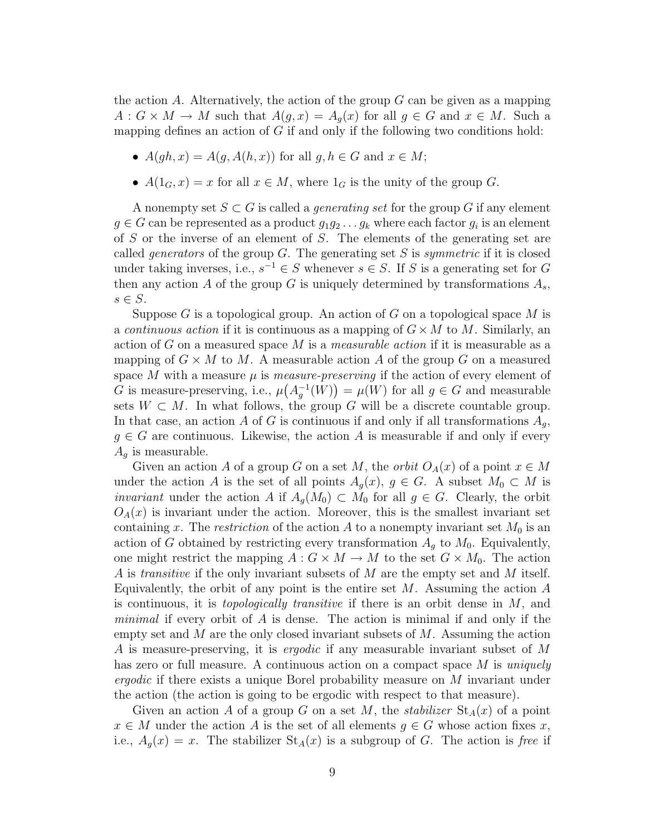the action A. Alternatively, the action of the group  $G$  can be given as a mapping  $A: G \times M \to M$  such that  $A(g,x) = A_g(x)$  for all  $g \in G$  and  $x \in M$ . Such a mapping defines an action of  $G$  if and only if the following two conditions hold:

- $A(qh, x) = A(q, A(h, x))$  for all  $q, h \in G$  and  $x \in M$ ;
- $A(1_G, x) = x$  for all  $x \in M$ , where  $1_G$  is the unity of the group G.

A nonempty set  $S \subset G$  is called a *generating set* for the group G if any element  $g \in G$  can be represented as a product  $g_1g_2 \ldots g_k$  where each factor  $g_i$  is an element of S or the inverse of an element of S. The elements of the generating set are called *generators* of the group G. The generating set S is *symmetric* if it is closed under taking inverses, i.e.,  $s^{-1} \in S$  whenever  $s \in S$ . If S is a generating set for G then any action A of the group G is uniquely determined by transformations  $A_s$ ,  $s \in S$ .

Suppose G is a topological group. An action of G on a topological space M is a continuous action if it is continuous as a mapping of  $G \times M$  to M. Similarly, an action of G on a measured space M is a *measurable action* if it is measurable as a mapping of  $G \times M$  to M. A measurable action A of the group G on a measured space M with a measure  $\mu$  is *measure-preserving* if the action of every element of G is measure-preserving, i.e.,  $\mu(A_g^{-1}(W)) = \mu(W)$  for all  $g \in G$  and measurable sets  $W \subset M$ . In what follows, the group G will be a discrete countable group. In that case, an action A of G is continuous if and only if all transformations  $A_q$ ,  $g \in G$  are continuous. Likewise, the action A is measurable if and only if every  $A_q$  is measurable.

Given an action A of a group G on a set M, the *orbit*  $O<sub>A</sub>(x)$  of a point  $x \in M$ under the action A is the set of all points  $A_q(x)$ ,  $g \in G$ . A subset  $M_0 \subset M$  is *invariant* under the action A if  $A_q(M_0) \subset M_0$  for all  $g \in G$ . Clearly, the orbit  $O<sub>A</sub>(x)$  is invariant under the action. Moreover, this is the smallest invariant set containing x. The restriction of the action A to a nonempty invariant set  $M_0$  is an action of G obtained by restricting every transformation  $A<sub>q</sub>$  to  $M<sub>0</sub>$ . Equivalently, one might restrict the mapping  $A: G \times M \to M$  to the set  $G \times M_0$ . The action A is *transitive* if the only invariant subsets of M are the empty set and M itself. Equivalently, the orbit of any point is the entire set  $M$ . Assuming the action  $A$ is continuous, it is *topologically transitive* if there is an orbit dense in  $M$ , and *minimal* if every orbit of  $\tilde{A}$  is dense. The action is minimal if and only if the empty set and  $M$  are the only closed invariant subsets of  $M$ . Assuming the action A is measure-preserving, it is *ergodic* if any measurable invariant subset of M has zero or full measure. A continuous action on a compact space  $M$  is uniquely ergodic if there exists a unique Borel probability measure on M invariant under the action (the action is going to be ergodic with respect to that measure).

Given an action A of a group G on a set M, the *stabilizer*  $St<sub>A</sub>(x)$  of a point  $x \in M$  under the action A is the set of all elements  $g \in G$  whose action fixes x, i.e.,  $A_q(x) = x$ . The stabilizer  $St_A(x)$  is a subgroup of G. The action is free if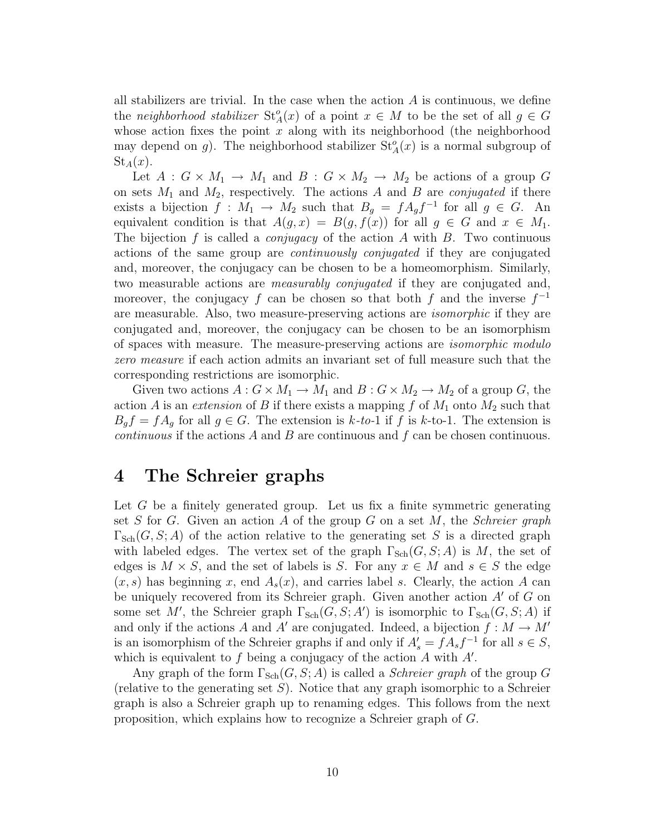all stabilizers are trivial. In the case when the action  $A$  is continuous, we define the neighborhood stabilizer  $St_A^o(x)$  of a point  $x \in M$  to be the set of all  $g \in G$ whose action fixes the point  $x$  along with its neighborhood (the neighborhood may depend on g). The neighborhood stabilizer  $St_A^o(x)$  is a normal subgroup of  $St_A(x)$ .

Let  $A: G \times M_1 \to M_1$  and  $B: G \times M_2 \to M_2$  be actions of a group G on sets  $M_1$  and  $M_2$ , respectively. The actions A and B are *conjugated* if there exists a bijection  $f: M_1 \to M_2$  such that  $B_g = f A_g f^{-1}$  for all  $g \in G$ . An equivalent condition is that  $A(g, x) = B(g, f(x))$  for all  $g \in G$  and  $x \in M_1$ . The bijection f is called a *conjugacy* of the action A with B. Two continuous actions of the same group are continuously conjugated if they are conjugated and, moreover, the conjugacy can be chosen to be a homeomorphism. Similarly, two measurable actions are *measurably conjugated* if they are conjugated and, moreover, the conjugacy f can be chosen so that both f and the inverse  $f^{-1}$ are measurable. Also, two measure-preserving actions are isomorphic if they are conjugated and, moreover, the conjugacy can be chosen to be an isomorphism of spaces with measure. The measure-preserving actions are isomorphic modulo zero measure if each action admits an invariant set of full measure such that the corresponding restrictions are isomorphic.

Given two actions  $A: G \times M_1 \to M_1$  and  $B: G \times M_2 \to M_2$  of a group G, the action A is an extension of B if there exists a mapping f of  $M_1$  onto  $M_2$  such that  $B_g f = f A_g$  for all  $g \in G$ . The extension is  $k$ -to-1 if f is k-to-1. The extension is *continuous* if the actions  $A$  and  $B$  are continuous and  $f$  can be chosen continuous.

### 4 The Schreier graphs

Let  $G$  be a finitely generated group. Let us fix a finite symmetric generating set S for G. Given an action A of the group G on a set M, the Schreier graph  $\Gamma_{\text{Sch}}(G, S; A)$  of the action relative to the generating set S is a directed graph with labeled edges. The vertex set of the graph  $\Gamma_{\text{Sch}}(G, S; A)$  is M, the set of edges is  $M \times S$ , and the set of labels is S. For any  $x \in M$  and  $s \in S$  the edge  $(x, s)$  has beginning x, end  $A_s(x)$ , and carries label s. Clearly, the action A can be uniquely recovered from its Schreier graph. Given another action A′ of G on some set M', the Schreier graph  $\Gamma_{\text{Sch}}(G, S; A')$  is isomorphic to  $\Gamma_{\text{Sch}}(G, S; A)$  if and only if the actions A and A' are conjugated. Indeed, a bijection  $f : M \to M'$ is an isomorphism of the Schreier graphs if and only if  $A'_{s} = fA_{s}f^{-1}$  for all  $s \in S$ , which is equivalent to  $f$  being a conjugacy of the action  $A$  with  $A'$ .

Any graph of the form  $\Gamma_{\text{Sch}}(G, S; A)$  is called a *Schreier graph* of the group G (relative to the generating set  $S$ ). Notice that any graph isomorphic to a Schreier graph is also a Schreier graph up to renaming edges. This follows from the next proposition, which explains how to recognize a Schreier graph of G.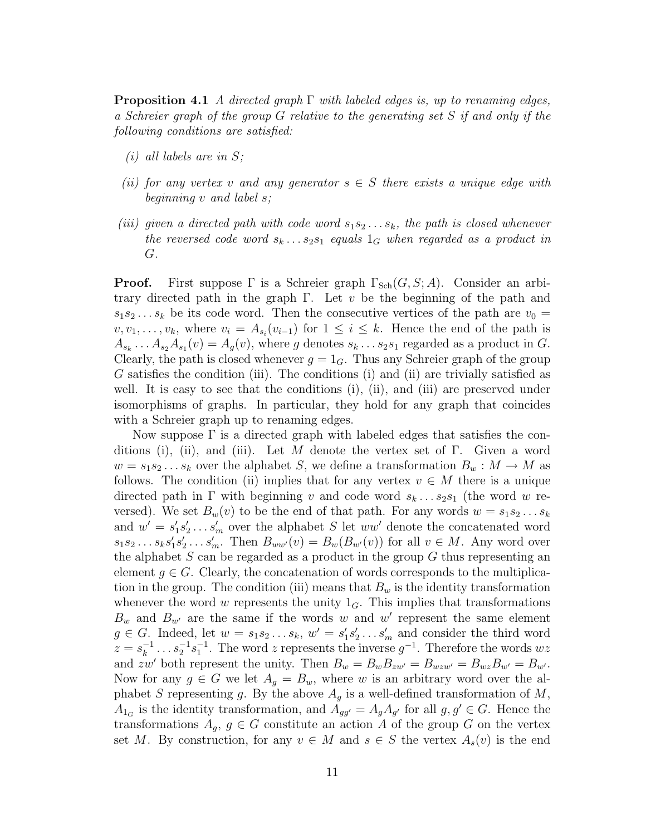**Proposition 4.1** A directed graph  $\Gamma$  with labeled edges is, up to renaming edges, a Schreier graph of the group G relative to the generating set S if and only if the following conditions are satisfied:

- $(i)$  all labels are in S;
- (ii) for any vertex v and any generator  $s \in S$  there exists a unique edge with beginning v and label s;
- (iii) given a directed path with code word  $s_1s_2 \ldots s_k$ , the path is closed whenever the reversed code word  $s_k \dots s_2 s_1$  equals  $1_G$  when regarded as a product in G.

**Proof.** First suppose  $\Gamma$  is a Schreier graph  $\Gamma_{Sch}(G, S; A)$ . Consider an arbitrary directed path in the graph  $\Gamma$ . Let v be the beginning of the path and  $s_1s_2... s_k$  be its code word. Then the consecutive vertices of the path are  $v_0 =$  $v, v_1, \ldots, v_k$ , where  $v_i = A_{s_i}(v_{i-1})$  for  $1 \leq i \leq k$ . Hence the end of the path is  $A_{s_k} \ldots A_{s_2} A_{s_1}(v) = A_g(v)$ , where g denotes  $s_k \ldots s_2 s_1$  regarded as a product in G. Clearly, the path is closed whenever  $g = 1_G$ . Thus any Schreier graph of the group G satisfies the condition (iii). The conditions (i) and (ii) are trivially satisfied as well. It is easy to see that the conditions (i), (ii), and (iii) are preserved under isomorphisms of graphs. In particular, they hold for any graph that coincides with a Schreier graph up to renaming edges.

Now suppose  $\Gamma$  is a directed graph with labeled edges that satisfies the conditions (i), (ii), and (iii). Let M denote the vertex set of  $\Gamma$ . Given a word  $w = s_1 s_2 \dots s_k$  over the alphabet S, we define a transformation  $B_w : M \to M$  as follows. The condition (ii) implies that for any vertex  $v \in M$  there is a unique directed path in  $\Gamma$  with beginning v and code word  $s_k \dots s_2 s_1$  (the word w reversed). We set  $B_w(v)$  to be the end of that path. For any words  $w = s_1 s_2 \dots s_k$ and  $w' = s_1's_2' \ldots s_m'$  over the alphabet S let  $ww'$  denote the concatenated word  $s_1s_2 \ldots s_ks'_1s'_2 \ldots s'_m$ . Then  $B_{ww'}(v) = B_w(B_{w'}(v))$  for all  $v \in M$ . Any word over the alphabet  $S$  can be regarded as a product in the group  $G$  thus representing an element  $g \in G$ . Clearly, the concatenation of words corresponds to the multiplication in the group. The condition (iii) means that  $B_w$  is the identity transformation whenever the word w represents the unity  $1_G$ . This implies that transformations  $B_w$  and  $B_{w'}$  are the same if the words w and w' represent the same element  $g \in G$ . Indeed, let  $w = s_1 s_2 \dots s_k$ ,  $w' = s'_1 s'_2 \dots s'_m$  and consider the third word  $z = s_k^{-1}$  $s_k^{-1} \dots s_2^{-1} s_1^{-1}$ . The word z represents the inverse  $g^{-1}$ . Therefore the words  $wz$ and zw' both represent the unity. Then  $B_w = B_w B_{zw'} = B_{wzw'} = B_{wz} B_{w'} = B_{w'}$ . Now for any  $g \in G$  we let  $A_g = B_w$ , where w is an arbitrary word over the alphabet S representing g. By the above  $A<sub>g</sub>$  is a well-defined transformation of M,  $A_{1_G}$  is the identity transformation, and  $A_{gg'} = A_g A_{g'}$  for all  $g, g' \in G$ . Hence the transformations  $A_q, g \in G$  constitute an action A of the group G on the vertex set M. By construction, for any  $v \in M$  and  $s \in S$  the vertex  $A_s(v)$  is the end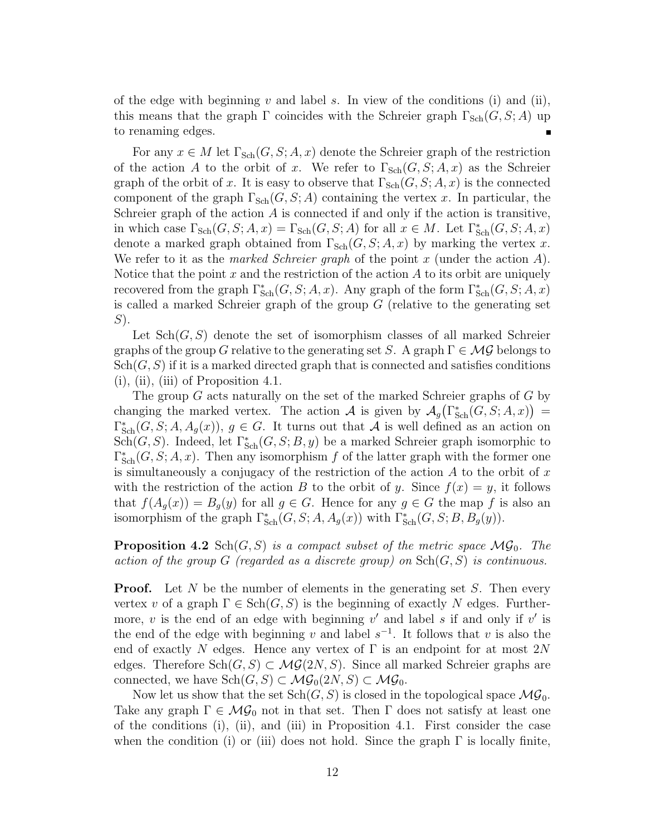of the edge with beginning v and label s. In view of the conditions (i) and (ii), this means that the graph  $\Gamma$  coincides with the Schreier graph  $\Gamma_{\text{Sch}}(G, S; A)$  up to renaming edges.

For any  $x \in M$  let  $\Gamma_{\text{Sch}}(G, S; A, x)$  denote the Schreier graph of the restriction of the action A to the orbit of x. We refer to  $\Gamma_{\text{Sch}}(G, S; A, x)$  as the Schreier graph of the orbit of x. It is easy to observe that  $\Gamma_{\text{Sch}}(G, S; A, x)$  is the connected component of the graph  $\Gamma_{\text{Sch}}(G, S; A)$  containing the vertex x. In particular, the Schreier graph of the action  $A$  is connected if and only if the action is transitive, in which case  $\Gamma_{\text{Sch}}(G, S; A, x) = \Gamma_{\text{Sch}}(G, S; A)$  for all  $x \in M$ . Let  $\Gamma_{\text{Sch}}^*(G, S; A, x)$ denote a marked graph obtained from  $\Gamma_{\text{Sch}}(G, S; A, x)$  by marking the vertex x. We refer to it as the *marked Schreier graph* of the point x (under the action  $A$ ). Notice that the point  $x$  and the restriction of the action  $A$  to its orbit are uniquely recovered from the graph  $\Gamma_{\text{Sch}}^*(G, S; A, x)$ . Any graph of the form  $\Gamma_{\text{Sch}}^*(G, S; A, x)$ is called a marked Schreier graph of the group  $G$  (relative to the generating set S).

Let  $\text{Sch}(G, S)$  denote the set of isomorphism classes of all marked Schreier graphs of the group G relative to the generating set S. A graph  $\Gamma \in \mathcal{MG}$  belongs to  $\operatorname{Sch}(G, S)$  if it is a marked directed graph that is connected and satisfies conditions  $(i)$ ,  $(ii)$ ,  $(iii)$  of Proposition 4.1.

The group  $G$  acts naturally on the set of the marked Schreier graphs of  $G$  by changing the marked vertex. The action A is given by  $\mathcal{A}_g(\Gamma_{\text{Sch}}^*(G, S; A, x)) =$  $\Gamma_{\text{Sch}}^*(G, S; A, A_g(x)), g \in G$ . It turns out that A is well defined as an action on Sch(G, S). Indeed, let  $\Gamma_{\text{Sch}}^*(G, S; B, y)$  be a marked Schreier graph isomorphic to  $\Gamma_{\text{Sch}}^*(G, S; A, x)$ . Then any isomorphism f of the latter graph with the former one is simultaneously a conjugacy of the restriction of the action  $A$  to the orbit of  $x$ with the restriction of the action B to the orbit of y. Since  $f(x) = y$ , it follows that  $f(A_q(x)) = B_q(y)$  for all  $g \in G$ . Hence for any  $g \in G$  the map f is also an isomorphism of the graph  $\Gamma_{\text{Sch}}^*(G, S; A, A_g(x))$  with  $\Gamma_{\text{Sch}}^*(G, S; B, B_g(y))$ .

**Proposition 4.2** Sch $(G, S)$  is a compact subset of the metric space  $MG_0$ . The action of the group G (regarded as a discrete group) on  $\text{Sch}(G, S)$  is continuous.

**Proof.** Let N be the number of elements in the generating set  $S$ . Then every vertex v of a graph  $\Gamma \in \text{Sch}(G, S)$  is the beginning of exactly N edges. Furthermore,  $v$  is the end of an edge with beginning  $v'$  and label  $s$  if and only if  $v'$  is the end of the edge with beginning v and label  $s^{-1}$ . It follows that v is also the end of exactly N edges. Hence any vertex of  $\Gamma$  is an endpoint for at most  $2N$ edges. Therefore  $\text{Sch}(G, S) \subset \mathcal{MG}(2N, S)$ . Since all marked Schreier graphs are connected, we have  $\text{Sch}(G, S) \subset \mathcal{MG}_0(2N, S) \subset \mathcal{MG}_0$ .

Now let us show that the set  $\text{Sch}(G, S)$  is closed in the topological space  $\mathcal{MG}_0$ . Take any graph  $\Gamma \in \mathcal{MG}_0$  not in that set. Then  $\Gamma$  does not satisfy at least one of the conditions (i), (ii), and (iii) in Proposition 4.1. First consider the case when the condition (i) or (iii) does not hold. Since the graph  $\Gamma$  is locally finite,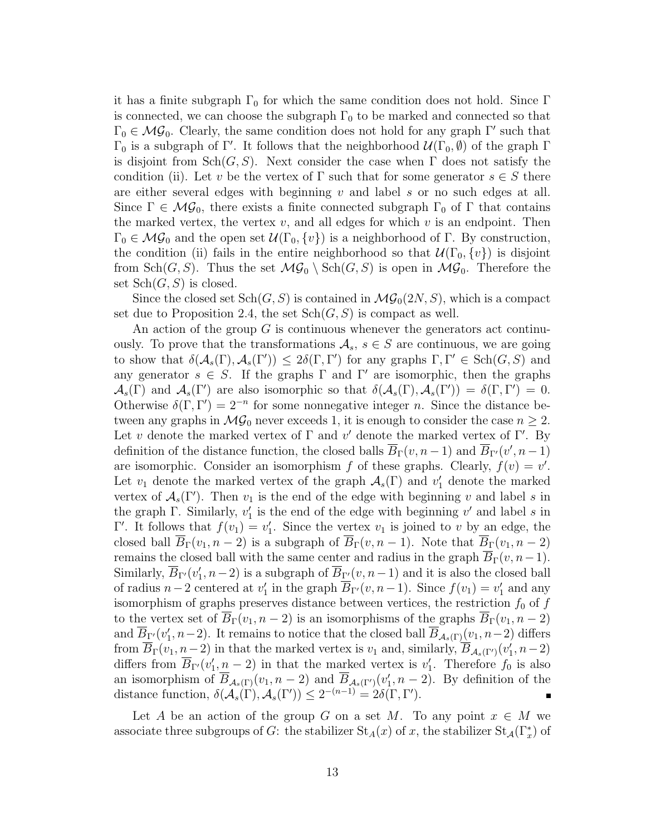it has a finite subgraph  $\Gamma_0$  for which the same condition does not hold. Since  $\Gamma$ is connected, we can choose the subgraph  $\Gamma_0$  to be marked and connected so that  $\Gamma_0 \in \mathcal{MG}_0$ . Clearly, the same condition does not hold for any graph  $\Gamma'$  such that  $\Gamma_0$  is a subgraph of Γ'. It follows that the neighborhood  $\mathcal{U}(\Gamma_0, \emptyset)$  of the graph Γ is disjoint from  $\text{Sch}(G, S)$ . Next consider the case when  $\Gamma$  does not satisfy the condition (ii). Let v be the vertex of  $\Gamma$  such that for some generator  $s \in S$  there are either several edges with beginning  $v$  and label  $s$  or no such edges at all. Since  $\Gamma \in \mathcal{MG}_0$ , there exists a finite connected subgraph  $\Gamma_0$  of  $\Gamma$  that contains the marked vertex, the vertex  $v$ , and all edges for which  $v$  is an endpoint. Then  $\Gamma_0 \in \mathcal{MG}_0$  and the open set  $\mathcal{U}(\Gamma_0, \{v\})$  is a neighborhood of  $\Gamma$ . By construction, the condition (ii) fails in the entire neighborhood so that  $\mathcal{U}(\Gamma_0, \{v\})$  is disjoint from  $\text{Sch}(G, S)$ . Thus the set  $\mathcal{MG}_0 \setminus \text{Sch}(G, S)$  is open in  $\mathcal{MG}_0$ . Therefore the set  $\operatorname{Sch}(G, S)$  is closed.

Since the closed set  $Sch(G, S)$  is contained in  $MG_0(2N, S)$ , which is a compact set due to Proposition 2.4, the set  $\text{Sch}(G, S)$  is compact as well.

An action of the group  $G$  is continuous whenever the generators act continuously. To prove that the transformations  $A_s$ ,  $s \in S$  are continuous, we are going to show that  $\delta(A_s(\Gamma), A_s(\Gamma')) \leq 2\delta(\Gamma, \Gamma')$  for any graphs  $\Gamma, \Gamma' \in Sch(G, S)$  and any generator  $s \in S$ . If the graphs  $\Gamma$  and  $\Gamma'$  are isomorphic, then the graphs  $\mathcal{A}_s(\Gamma)$  and  $\mathcal{A}_s(\Gamma')$  are also isomorphic so that  $\delta(\mathcal{A}_s(\Gamma), \mathcal{A}_s(\Gamma')) = \delta(\Gamma, \Gamma') = 0$ . Otherwise  $\delta(\Gamma,\Gamma')=2^{-n}$  for some nonnegative integer *n*. Since the distance between any graphs in  $\mathcal{MG}_0$  never exceeds 1, it is enough to consider the case  $n \geq 2$ . Let v denote the marked vertex of  $\Gamma$  and v' denote the marked vertex of  $\Gamma'$ . By definition of the distance function, the closed balls  $\overline{B}_{\Gamma}(v, n-1)$  and  $\overline{B}_{\Gamma'}(v', n-1)$ are isomorphic. Consider an isomorphism f of these graphs. Clearly,  $f(v) = v'$ . Let  $v_1$  denote the marked vertex of the graph  $\mathcal{A}_s(\Gamma)$  and  $v'_1$  denote the marked vertex of  $\mathcal{A}_s(\Gamma')$ . Then  $v_1$  is the end of the edge with beginning v and label s in the graph  $\Gamma$ . Similarly,  $v'_1$  is the end of the edge with beginning v' and label s in Γ'. It follows that  $f(v_1) = v'_1$ . Since the vertex  $v_1$  is joined to v by an edge, the closed ball  $B_{\Gamma}(v_1,n-2)$  is a subgraph of  $B_{\Gamma}(v,n-1)$ . Note that  $B_{\Gamma}(v_1,n-2)$ remains the closed ball with the same center and radius in the graph  $\overline{B}_{\Gamma}(v,n-1)$ . Similarly,  $\overline{B}_{\Gamma'}(v_1', n-2)$  is a subgraph of  $\overline{B}_{\Gamma'}(v, n-1)$  and it is also the closed ball of radius  $n-2$  centered at  $v'_1$  in the graph  $\overline{B}_{\Gamma}(v, n-1)$ . Since  $f(v_1) = v'_1$  and any isomorphism of graphs preserves distance between vertices, the restriction  $f_0$  of  $f$ to the vertex set of  $\overline{B}_{\Gamma}(v_1,n-2)$  is an isomorphisms of the graphs  $\overline{B}_{\Gamma}(v_1,n-2)$ and  $\overline{B}_{\Gamma'}(v_1', n-2)$ . It remains to notice that the closed ball  $\overline{B}_{\mathcal{A}_s(\Gamma)}(v_1, n-2)$  differs from  $\overline{B}_{\Gamma}(v_1, n-2)$  in that the marked vertex is  $v_1$  and, similarly,  $\overline{B}_{A_s(\Gamma')}(v'_1, n-2)$ differs from  $\overline{B}_{\Gamma}(v_1', n-2)$  in that the marked vertex is  $v_1'$ . Therefore  $f_0$  is also an isomorphism of  $\overline{B}_{\mathcal{A}_s(\Gamma)}(v_1, n-2)$  and  $\overline{B}_{\mathcal{A}_s(\Gamma')}(v_1', n-2)$ . By definition of the distance function,  $\delta(\mathcal{A}_s(\Gamma), \mathcal{A}_s(\Gamma')) \leq 2^{-(n-1)} = 2\delta(\Gamma, \Gamma').$ 

Let A be an action of the group G on a set M. To any point  $x \in M$  we associate three subgroups of G: the stabilizer  $St_A(x)$  of x, the stabilizer  $St_A(\Gamma_x^*)$  of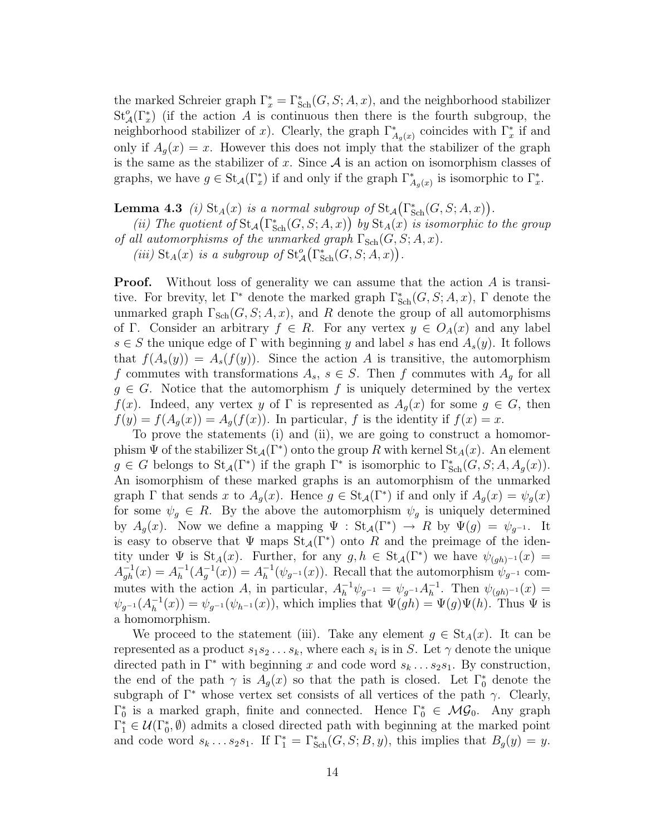the marked Schreier graph  $\Gamma_x^* = \Gamma_{\text{Sch}}^*(G, S; A, x)$ , and the neighborhood stabilizer  $St_{\mathcal{A}}^{o}(\Gamma_{x}^{*})$  (if the action A is continuous then there is the fourth subgroup, the neighborhood stabilizer of x). Clearly, the graph  $\Gamma_{A_g(x)}^*$  coincides with  $\Gamma_x^*$  if and only if  $A_q(x) = x$ . However this does not imply that the stabilizer of the graph is the same as the stabilizer of x. Since  $A$  is an action on isomorphism classes of graphs, we have  $g \in \text{St}_{\mathcal{A}}(\Gamma_x^*)$  if and only if the graph  $\Gamma_{A_g(x)}^*$  is isomorphic to  $\Gamma_x^*$ .

**Lemma 4.3** (i)  $\text{St}_{A}(x)$  is a normal subgroup of  $\text{St}_{A}(\Gamma_{\text{Sch}}^{*}(G, S; A, x)).$ 

(ii) The quotient of  $\text{St}_{\mathcal{A}}(\Gamma^*_{\text{Sch}}(G, S; A, x))$  by  $\text{St}_{\mathcal{A}}(x)$  is isomorphic to the group of all automorphisms of the unmarked graph  $\Gamma_{\text{Sch}}(G, S; A, x)$ .

(iii)  $\text{St}_{A}(x)$  is a subgroup of  $\text{St}_{A}^{o}(\Gamma_{\text{Sch}}^{*}(G, S; A, x)).$ 

**Proof.** Without loss of generality we can assume that the action A is transitive. For brevity, let  $\Gamma^*$  denote the marked graph  $\Gamma_{\text{Sch}}^*(G, S; A, x)$ ,  $\Gamma$  denote the unmarked graph  $\Gamma_{\text{Sch}}(G, S; A, x)$ , and R denote the group of all automorphisms of Γ. Consider an arbitrary  $f \in R$ . For any vertex  $y \in O_A(x)$  and any label  $s \in S$  the unique edge of  $\Gamma$  with beginning y and label s has end  $A_s(y)$ . It follows that  $f(A_s(y)) = A_s(f(y))$ . Since the action A is transitive, the automorphism f commutes with transformations  $A_s$ ,  $s \in S$ . Then f commutes with  $A_q$  for all  $g \in G$ . Notice that the automorphism f is uniquely determined by the vertex  $f(x)$ . Indeed, any vertex y of  $\Gamma$  is represented as  $A_g(x)$  for some  $g \in G$ , then  $f(y) = f(A_q(x)) = A_q(f(x))$ . In particular, f is the identity if  $f(x) = x$ .

To prove the statements (i) and (ii), we are going to construct a homomorphism  $\Psi$  of the stabilizer  $\text{St}_{\mathcal{A}}(\Gamma^*)$  onto the group R with kernel  $\text{St}_{\mathcal{A}}(x)$ . An element  $g \in G$  belongs to  $\text{St}_{\mathcal{A}}(\Gamma^*)$  if the graph  $\Gamma^*$  is isomorphic to  $\Gamma^*_{\text{Sch}}(G, S; A, A_g(x))$ . An isomorphism of these marked graphs is an automorphism of the unmarked graph  $\Gamma$  that sends x to  $A_g(x)$ . Hence  $g \in St_{\mathcal{A}}(\Gamma^*)$  if and only if  $A_g(x) = \psi_g(x)$ for some  $\psi_g \in R$ . By the above the automorphism  $\psi_g$  is uniquely determined by  $A_g(x)$ . Now we define a mapping  $\Psi : \text{St}_{\mathcal{A}}(\Gamma^*) \to R$  by  $\Psi(g) = \psi_{g^{-1}}$ . It is easy to observe that  $\Psi$  maps  $\text{St}_{\mathcal{A}}(\Gamma^*)$  onto R and the preimage of the identity under  $\Psi$  is  $\text{St}_{A}(x)$ . Further, for any  $g, h \in \text{St}_{A}(\Gamma^*)$  we have  $\psi_{(gh)^{-1}}(x) =$  $A_{gh}^{-1}(x) = A_h^{-1}$  $\lambda_h^{-1}(A_g^{-1}(x)) = A_h^{-1}$  $h^{-1}(\psi_{g^{-1}}(x))$ . Recall that the automorphism  $\psi_{g^{-1}}$  commutes with the action A, in particular,  $A_h^{-1} \psi_{g^{-1}} = \psi_{g^{-1}} A_h^{-1}$  $\overline{h}^1$ . Then  $\psi_{(gh)^{-1}}(x) =$  $\psi_{g^{-1}}(A_h^{-1}$  $h_1^{-1}(x) = \psi_{g^{-1}}(\psi_{h^{-1}}(x))$ , which implies that  $\Psi(gh) = \Psi(g)\Psi(h)$ . Thus  $\Psi$  is a homomorphism.

We proceed to the statement (iii). Take any element  $g \in St_A(x)$ . It can be represented as a product  $s_1 s_2 \ldots s_k$ , where each  $s_i$  is in S. Let  $\gamma$  denote the unique directed path in  $\Gamma^*$  with beginning x and code word  $s_k \dots s_2 s_1$ . By construction, the end of the path  $\gamma$  is  $A_g(x)$  so that the path is closed. Let  $\Gamma_0^*$  denote the subgraph of  $\Gamma^*$  whose vertex set consists of all vertices of the path  $\gamma$ . Clearly,  $\Gamma_0^*$  is a marked graph, finite and connected. Hence  $\Gamma_0^* \in \mathcal{MG}_0$ . Any graph  $\Gamma_1^* \in \mathcal{U}(\Gamma_0^*, \emptyset)$  admits a closed directed path with beginning at the marked point and code word  $s_k \dots s_2 s_1$ . If  $\Gamma_1^* = \Gamma_{\text{Sch}}^*(G, S; B, y)$ , this implies that  $B_g(y) = y$ .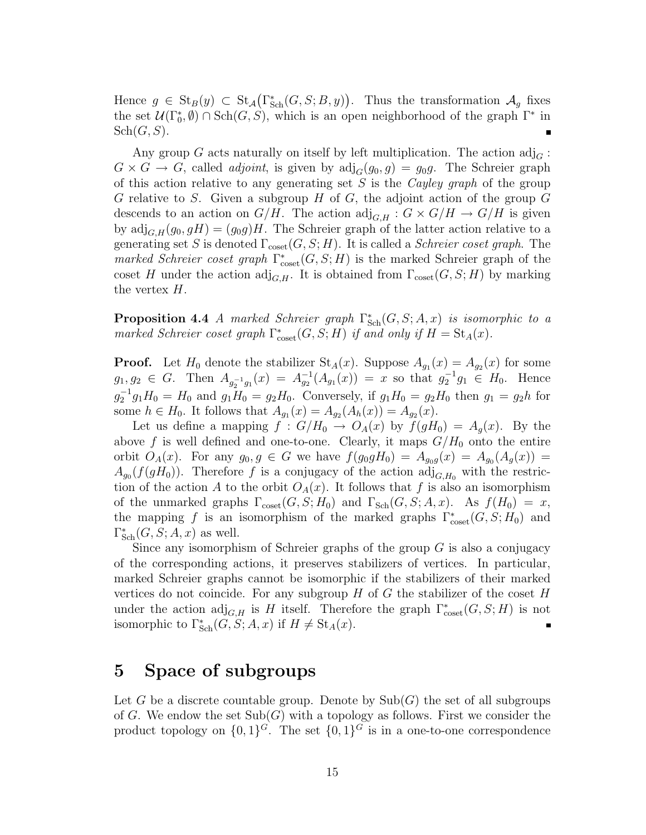Hence  $g \in \text{St}_B(y) \subset \text{St}_{\mathcal{A}}(\Gamma_{\text{Sch}}^*(G, S; B, y)).$  Thus the transformation  $\mathcal{A}_g$  fixes the set  $\mathcal{U}(\Gamma_0^*,\emptyset) \cap \text{Sch}(G,S)$ , which is an open neighborhood of the graph  $\Gamma^*$  in  $\operatorname{Sch}(G,S).$ 

Any group G acts naturally on itself by left multiplication. The action  $\text{adj}_{G}$ :  $G \times G \to G$ , called *adjoint*, is given by  $\text{adj}_{G}(g_0, g) = g_0 g$ . The Schreier graph of this action relative to any generating set S is the Cayley graph of the group G relative to S. Given a subgroup  $H$  of  $G$ , the adjoint action of the group  $G$ descends to an action on  $G/H$ . The action  $\text{adj}_{G,H}: G \times G/H \to G/H$  is given by  $\text{adj}_{G,H}(g_0,gH) = (g_0g)H$ . The Schreier graph of the latter action relative to a generating set S is denoted  $\Gamma_{\text{coset}}(G, S; H)$ . It is called a Schreier coset graph. The marked Schreier coset graph  $\Gamma_{\text{coset}}^*(G, S; H)$  is the marked Schreier graph of the coset H under the action  $\text{adj}_{G,H}$ . It is obtained from  $\Gamma_{\text{coset}}(G, S; H)$  by marking the vertex H.

**Proposition 4.4** A marked Schreier graph  $\Gamma_{Sch}^*(G, S; A, x)$  is isomorphic to a marked Schreier coset graph  $\Gamma_{\text{coset}}^*(G, S; H)$  if and only if  $H = \text{St}_A(x)$ .

**Proof.** Let  $H_0$  denote the stabilizer  $St_A(x)$ . Suppose  $A_{g_1}(x) = A_{g_2}(x)$  for some  $g_1, g_2 \in G$ . Then  $A_{g_2^{-1}g_1}(x) = A_{g_2}^{-1}(A_{g_1}(x)) = x$  so that  $g_2^{-1}g_1 \in H_0$ . Hence  $g_2^{-1}g_1H_0 = H_0$  and  $g_1H_0 = g_2H_0$ . Conversely, if  $g_1H_0 = g_2H_0$  then  $g_1 = g_2h$  for some  $h \in H_0$ . It follows that  $A_{g_1}(x) = A_{g_2}(A_h(x)) = A_{g_2}(x)$ .

Let us define a mapping  $f: G/H_0 \to O_A(x)$  by  $f(gH_0) = A_g(x)$ . By the above f is well defined and one-to-one. Clearly, it maps  $G/H_0$  onto the entire orbit  $O_A(x)$ . For any  $g_0, g \in G$  we have  $f(g_0 g H_0) = A_{g_0} g(x) = A_{g_0}(A_g(x)) =$  $A_{g_0}(f(gH_0))$ . Therefore f is a conjugacy of the action  $\mathrm{adj}_{G,H_0}$  with the restriction of the action A to the orbit  $O_A(x)$ . It follows that f is also an isomorphism of the unmarked graphs  $\Gamma_{\text{coset}}(G, S; H_0)$  and  $\Gamma_{\text{Sch}}(G, S; A, x)$ . As  $f(H_0) = x$ , the mapping f is an isomorphism of the marked graphs  $\Gamma_{\text{coset}}^*(G, S; H_0)$  and  $\Gamma^*_{\text{Sch}}(G, S; A, x)$  as well.

Since any isomorphism of Schreier graphs of the group  $G$  is also a conjugacy of the corresponding actions, it preserves stabilizers of vertices. In particular, marked Schreier graphs cannot be isomorphic if the stabilizers of their marked vertices do not coincide. For any subgroup  $H$  of  $G$  the stabilizer of the coset  $H$ under the action  $\text{adj}_{G,H}$  is H itself. Therefore the graph  $\Gamma^*_{\text{coset}}(G, S; H)$  is not isomorphic to  $\Gamma_{\text{Sch}}^*(G, S; A, x)$  if  $H \neq \text{St}_A(x)$ .

## 5 Space of subgroups

Let G be a discrete countable group. Denote by  $\text{Sub}(G)$  the set of all subgroups of G. We endow the set  $\text{Sub}(G)$  with a topology as follows. First we consider the product topology on  $\{0,1\}^G$ . The set  $\{0,1\}^G$  is in a one-to-one correspondence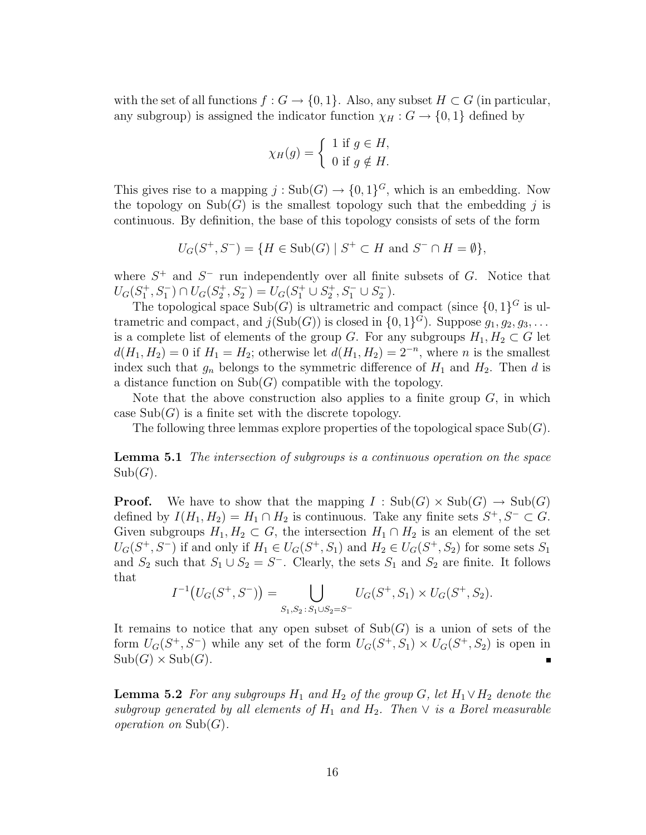with the set of all functions  $f : G \to \{0,1\}$ . Also, any subset  $H \subset G$  (in particular, any subgroup) is assigned the indicator function  $\chi_H : G \to \{0,1\}$  defined by

$$
\chi_H(g) = \begin{cases} 1 \text{ if } g \in H, \\ 0 \text{ if } g \notin H. \end{cases}
$$

This gives rise to a mapping  $j: Sub(G) \to \{0,1\}^G$ , which is an embedding. Now the topology on  $\text{Sub}(G)$  is the smallest topology such that the embedding j is continuous. By definition, the base of this topology consists of sets of the form

$$
U_G(S^+, S^-) = \{ H \in \text{Sub}(G) \mid S^+ \subset H \text{ and } S^- \cap H = \emptyset \},
$$

where  $S^+$  and  $S^-$  run independently over all finite subsets of G. Notice that  $U_G(S_1^+, S_1^-) \cap U_G(S_2^+, S_2^-) = U_G(S_1^+ \cup S_2^+, S_1^- \cup S_2^-)$  $_{2}^{-}$ ).

The topological space  $\text{Sub}(G)$  is ultrametric and compact (since  $\{0,1\}^G$  is ultrametric and compact, and  $j(\text{Sub}(G))$  is closed in  $\{0,1\}^G$ ). Suppose  $g_1, g_2, g_3, \ldots$ is a complete list of elements of the group G. For any subgroups  $H_1, H_2 \subset G$  let  $d(H_1, H_2) = 0$  if  $H_1 = H_2$ ; otherwise let  $d(H_1, H_2) = 2^{-n}$ , where *n* is the smallest index such that  $g_n$  belongs to the symmetric difference of  $H_1$  and  $H_2$ . Then d is a distance function on  $\mathrm{Sub}(G)$  compatible with the topology.

Note that the above construction also applies to a finite group  $G$ , in which case  $\text{Sub}(G)$  is a finite set with the discrete topology.

The following three lemmas explore properties of the topological space  $\text{Sub}(G)$ .

Lemma 5.1 The intersection of subgroups is a continuous operation on the space  $Sub(G).$ 

**Proof.** We have to show that the mapping  $I : Sub(G) \times Sub(G) \rightarrow Sub(G)$ defined by  $I(H_1, H_2) = H_1 \cap H_2$  is continuous. Take any finite sets  $S^+, S^- \subset G$ . Given subgroups  $H_1, H_2 \subset G$ , the intersection  $H_1 \cap H_2$  is an element of the set  $U_G(S^+, S^-)$  if and only if  $H_1 \in U_G(S^+, S_1)$  and  $H_2 \in U_G(S^+, S_2)$  for some sets  $S_1$ and  $S_2$  such that  $S_1 \cup S_2 = S^-$ . Clearly, the sets  $S_1$  and  $S_2$  are finite. It follows that

$$
I^{-1}(U_G(S^+, S^-)) = \bigcup_{S_1, S_2 \,:\, S_1 \cup S_2 = S^-} U_G(S^+, S_1) \times U_G(S^+, S_2).
$$

It remains to notice that any open subset of  $\text{Sub}(G)$  is a union of sets of the form  $U_G(S^+, S^-)$  while any set of the form  $U_G(S^+, S_1) \times U_G(S^+, S_2)$  is open in  $\text{Sub}(G) \times \text{Sub}(G)$ .

**Lemma 5.2** For any subgroups  $H_1$  and  $H_2$  of the group G, let  $H_1 \vee H_2$  denote the subgroup generated by all elements of  $H_1$  and  $H_2$ . Then  $\vee$  is a Borel measurable *operation on*  $\text{Sub}(G)$ .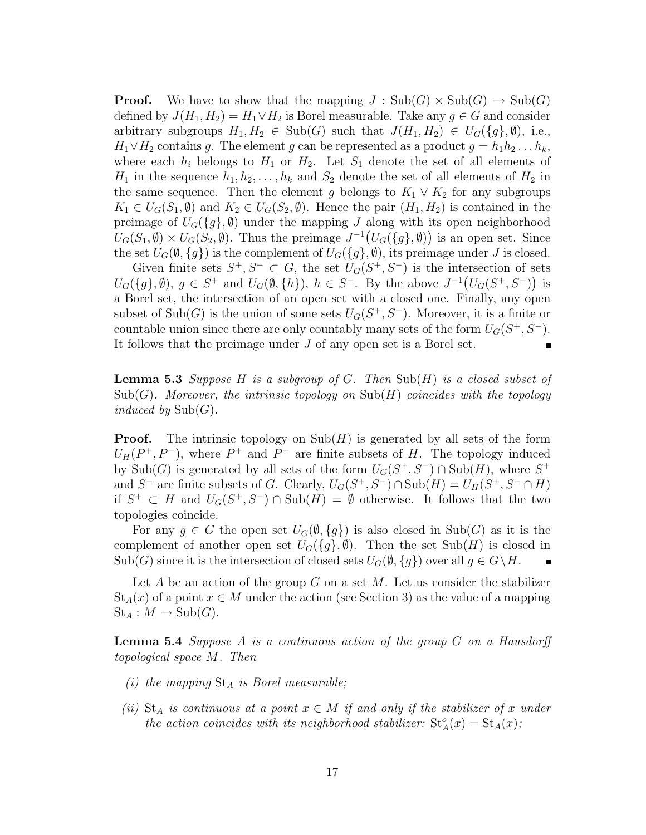**Proof.** We have to show that the mapping  $J : Sub(G) \times Sub(G) \rightarrow Sub(G)$ defined by  $J(H_1, H_2) = H_1 \vee H_2$  is Borel measurable. Take any  $g \in G$  and consider arbitrary subgroups  $H_1, H_2 \in Sub(G)$  such that  $J(H_1, H_2) \in U_G({g}, \emptyset)$ , i.e.,  $H_1 \vee H_2$  contains g. The element g can be represented as a product  $g = h_1 h_2 \dots h_k$ , where each  $h_i$  belongs to  $H_1$  or  $H_2$ . Let  $S_1$  denote the set of all elements of  $H_1$  in the sequence  $h_1, h_2, \ldots, h_k$  and  $S_2$  denote the set of all elements of  $H_2$  in the same sequence. Then the element g belongs to  $K_1 \vee K_2$  for any subgroups  $K_1 \in U_G(S_1, \emptyset)$  and  $K_2 \in U_G(S_2, \emptyset)$ . Hence the pair  $(H_1, H_2)$  is contained in the preimage of  $U_G({g}, \emptyset)$  under the mapping J along with its open neighborhood  $U_G(S_1, \emptyset) \times U_G(S_2, \emptyset)$ . Thus the preimage  $J^{-1}(U_G(\lbrace g \rbrace, \emptyset))$  is an open set. Since the set  $U_G(\emptyset, \{g\})$  is the complement of  $U_G(\{g\}, \emptyset)$ , its preimage under J is closed.

Given finite sets  $S^+, S^- \subset G$ , the set  $U_G(S^+, S^-)$  is the intersection of sets  $U_G({g}, \emptyset)$ ,  $g \in S^+$  and  $U_G(\emptyset, \{h\})$ ,  $h \in S^-$ . By the above  $J^{-1}(U_G(S^+, S^-))$  is a Borel set, the intersection of an open set with a closed one. Finally, any open subset of  $\text{Sub}(G)$  is the union of some sets  $U_G(S^+, S^-)$ . Moreover, it is a finite or countable union since there are only countably many sets of the form  $U_G(S^+, S^-)$ . It follows that the preimage under J of any open set is a Borel set.

**Lemma 5.3** Suppose H is a subgroup of G. Then  $\text{Sub}(H)$  is a closed subset of  $\text{Sub}(G)$ . Moreover, the intrinsic topology on  $\text{Sub}(H)$  coincides with the topology induced by  $\mathrm{Sub}(G)$ .

**Proof.** The intrinsic topology on  $\text{Sub}(H)$  is generated by all sets of the form  $U_H(P^+, P^-)$ , where  $P^+$  and  $P^-$  are finite subsets of H. The topology induced by Sub(G) is generated by all sets of the form  $U_G(S^+, S^-) \cap Sub(H)$ , where  $S^+$ and S<sup>-</sup> are finite subsets of G. Clearly,  $U_G(S^+, S^-) \cap \text{Sub}(H) = U_H(S^+, S^- \cap H)$ if  $S^+ \subset H$  and  $U_G(S^+, S^-) \cap Sub(H) = \emptyset$  otherwise. It follows that the two topologies coincide.

For any  $g \in G$  the open set  $U_G(\emptyset, \{g\})$  is also closed in  $\text{Sub}(G)$  as it is the complement of another open set  $U_G({g}, \emptyset)$ . Then the set Sub(H) is closed in  $\text{Sub}(G)$  since it is the intersection of closed sets  $U_G(\emptyset, \{g\})$  over all  $g \in G \backslash H$ .

Let A be an action of the group G on a set M. Let us consider the stabilizer  $St_A(x)$  of a point  $x \in M$  under the action (see Section 3) as the value of a mapping  $St_A: M \to Sub(G).$ 

**Lemma 5.4** Suppose A is a continuous action of the group  $G$  on a Hausdorff topological space M. Then

- (i) the mapping  $St_A$  is Borel measurable;
- (ii)  $St_A$  is continuous at a point  $x \in M$  if and only if the stabilizer of x under the action coincides with its neighborhood stabilizer:  $St_A^o(x) = St_A(x);$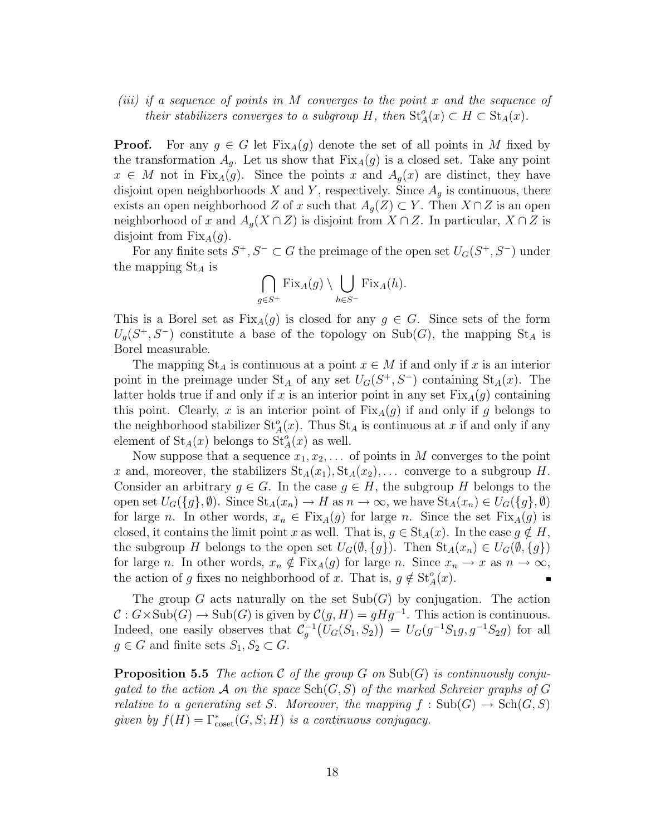### (iii) if a sequence of points in M converges to the point x and the sequence of their stabilizers converges to a subgroup H, then  $St_A^o(x) \subset H \subset St_A(x)$ .

**Proof.** For any  $g \in G$  let  $Fix_A(g)$  denote the set of all points in M fixed by the transformation  $A<sub>g</sub>$ . Let us show that  $Fix<sub>A</sub>(g)$  is a closed set. Take any point  $x \in M$  not in Fix<sub>A</sub>(g). Since the points x and  $A_q(x)$  are distinct, they have disjoint open neighborhoods X and Y, respectively. Since  $A_q$  is continuous, there exists an open neighborhood Z of x such that  $A_g(Z) \subset Y$ . Then  $X \cap Z$  is an open neighborhood of x and  $A_q(X \cap Z)$  is disjoint from  $X \cap Z$ . In particular,  $X \cap Z$  is disjoint from  $Fix_A(g)$ .

For any finite sets  $S^+, S^- \subset G$  the preimage of the open set  $U_G(S^+, S^-)$  under the mapping  $St_A$  is

$$
\bigcap_{g \in S^+} \text{Fix}_A(g) \setminus \bigcup_{h \in S^-} \text{Fix}_A(h).
$$

This is a Borel set as  $Fix_A(g)$  is closed for any  $g \in G$ . Since sets of the form  $U_g(S^+,S^-)$  constitute a base of the topology on Sub(G), the mapping St<sub>A</sub> is Borel measurable.

The mapping  $St_A$  is continuous at a point  $x \in M$  if and only if x is an interior point in the preimage under  $St_A$  of any set  $U_G(S^+, S^-)$  containing  $St_A(x)$ . The latter holds true if and only if x is an interior point in any set  $Fix_A(g)$  containing this point. Clearly, x is an interior point of  $Fix_A(g)$  if and only if g belongs to the neighborhood stabilizer  $St_A^o(x)$ . Thus  $St_A$  is continuous at x if and only if any element of  $St_A(x)$  belongs to  $St_A(x)$  as well.

Now suppose that a sequence  $x_1, x_2, \ldots$  of points in M converges to the point x and, moreover, the stabilizers  $St_A(x_1), St_A(x_2), \ldots$  converge to a subgroup H. Consider an arbitrary  $g \in G$ . In the case  $g \in H$ , the subgroup H belongs to the open set  $U_G({g}, \emptyset)$ . Since  $\text{St}_{A}(x_n) \to H$  as  $n \to \infty$ , we have  $\text{St}_{A}(x_n) \in U_G({g}, \emptyset)$ for large n. In other words,  $x_n \in Fix_A(g)$  for large n. Since the set  $Fix_A(g)$  is closed, it contains the limit point x as well. That is,  $g \in St_A(x)$ . In the case  $g \notin H$ , the subgroup H belongs to the open set  $U_G(\emptyset, \{g\})$ . Then  $\text{St}_A(x_n) \in U_G(\emptyset, \{g\})$ for large n. In other words,  $x_n \notin Fix_A(g)$  for large n. Since  $x_n \to x$  as  $n \to \infty$ , the action of g fixes no neighborhood of x. That is,  $g \notin \mathrm{St}_{A}^o(x)$ .

The group G acts naturally on the set  $\text{Sub}(G)$  by conjugation. The action  $\mathcal{C}: G \times \text{Sub}(G) \to \text{Sub}(G)$  is given by  $\mathcal{C}(g, H) = gHg^{-1}$ . This action is continuous. Indeed, one easily observes that  $C_g^{-1}(U_G(S_1, S_2)) = U_G(g^{-1}S_1g, g^{-1}S_2g)$  for all  $g \in G$  and finite sets  $S_1, S_2 \subset G$ .

**Proposition 5.5** The action C of the group G on Sub(G) is continuously conjugated to the action A on the space  $\text{Sch}(G, S)$  of the marked Schreier graphs of G relative to a generating set S. Moreover, the mapping  $f : Sub(G) \to Sch(G, S)$ given by  $f(H) = \Gamma_{\text{coset}}^*(G, S; H)$  is a continuous conjugacy.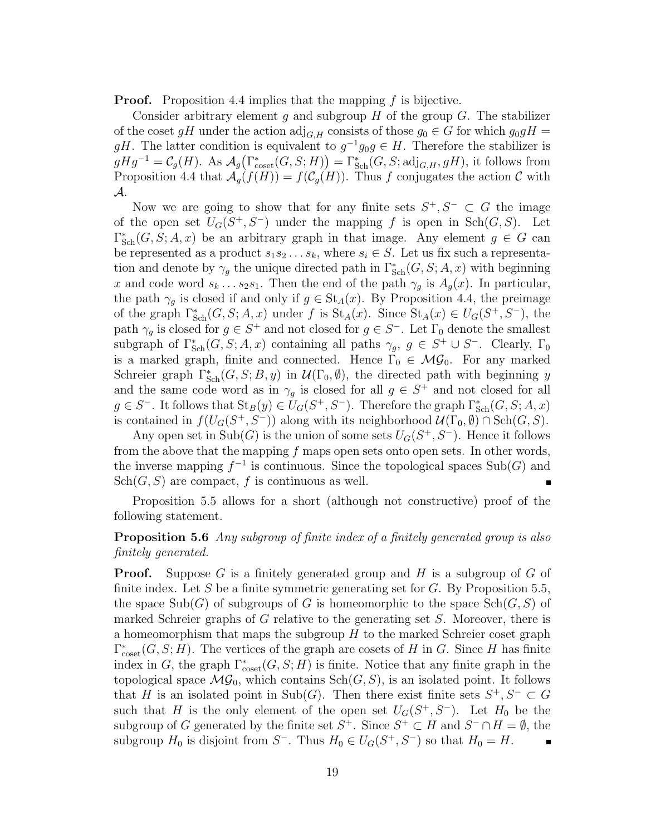**Proof.** Proposition 4.4 implies that the mapping f is bijective.

Consider arbitrary element g and subgroup  $H$  of the group  $G$ . The stabilizer of the coset gH under the action  $\text{adj}_{G,H}$  consists of those  $g_0 \in G$  for which  $g_0 g H =$ gH. The latter condition is equivalent to  $g^{-1}g_0g \in H$ . Therefore the stabilizer is  $gHg^{-1} = \mathcal{C}_g(H)$ . As  $\mathcal{A}_g(\Gamma_{\text{coset}}^*(G, S; H)) = \Gamma_{\text{Sch}}^*(G, S; \text{adj}_{G,H}, gH)$ , it follows from Proposition 4.4 that  $\mathcal{A}_g(f(H)) = f(\mathcal{C}_g(H))$ . Thus f conjugates the action C with A.

Now we are going to show that for any finite sets  $S^+, S^- \subset G$  the image of the open set  $U_G(S^+,S^-)$  under the mapping f is open in  $\text{Sch}(G, S)$ . Let  $\Gamma_{\text{Sch}}^*(G, S; A, x)$  be an arbitrary graph in that image. Any element  $g \in G$  can be represented as a product  $s_1s_2 \ldots s_k$ , where  $s_i \in S$ . Let us fix such a representation and denote by  $\gamma_g$  the unique directed path in  $\Gamma^*_{\text{Sch}}(G, S; A, x)$  with beginning x and code word  $s_k \dots s_2 s_1$ . Then the end of the path  $\gamma_q$  is  $A_q(x)$ . In particular, the path  $\gamma_g$  is closed if and only if  $g \in St_A(x)$ . By Proposition 4.4, the preimage of the graph  $\Gamma_{Sch}^*(G, S; A, x)$  under f is  $St_A(x)$ . Since  $St_A(x) \in U_G(S^+, S^-)$ , the path  $\gamma_g$  is closed for  $g \in S^+$  and not closed for  $g \in S^-$ . Let  $\Gamma_0$  denote the smallest subgraph of  $\Gamma_{\text{Sch}}^*(G, S; A, x)$  containing all paths  $\gamma_g, g \in S^+ \cup S^-$ . Clearly,  $\Gamma_0$ is a marked graph, finite and connected. Hence  $\Gamma_0 \in \mathcal{MG}_0$ . For any marked Schreier graph  $\Gamma_{\text{Sch}}^*(G, S; B, y)$  in  $\mathcal{U}(\Gamma_0, \emptyset)$ , the directed path with beginning y and the same code word as in  $\gamma_g$  is closed for all  $g \in S^+$  and not closed for all  $g \in S^-$ . It follows that  $\text{St}_B(y) \in U_G(S^+, S^-)$ . Therefore the graph  $\Gamma^*_{\text{Sch}}(G, S; A, x)$ is contained in  $f(U_G(S^+, S^-))$  along with its neighborhood  $\mathcal{U}(\Gamma_0, \emptyset) \cap \text{Sch}(G, S)$ .

Any open set in  $\text{Sub}(G)$  is the union of some sets  $U_G(S^+, S^-)$ . Hence it follows from the above that the mapping  $f$  maps open sets onto open sets. In other words, the inverse mapping  $f^{-1}$  is continuous. Since the topological spaces  $\text{Sub}(G)$  and  $Sch(G, S)$  are compact, f is continuous as well.

Proposition 5.5 allows for a short (although not constructive) proof of the following statement.

### **Proposition 5.6** Any subgroup of finite index of a finitely generated group is also finitely generated.

**Proof.** Suppose G is a finitely generated group and H is a subgroup of G of finite index. Let S be a finite symmetric generating set for  $G$ . By Proposition 5.5, the space  $\text{Sub}(G)$  of subgroups of G is homeomorphic to the space  $\text{Sch}(G, S)$  of marked Schreier graphs of G relative to the generating set  $S$ . Moreover, there is a homeomorphism that maps the subgroup  $H$  to the marked Schreier coset graph  $\Gamma_{\text{coset}}^*(G, S; H)$ . The vertices of the graph are cosets of H in G. Since H has finite index in G, the graph  $\Gamma_{\text{coset}}^*(G, S; H)$  is finite. Notice that any finite graph in the topological space  $\mathcal{MG}_0$ , which contains  $\text{Sch}(G, S)$ , is an isolated point. It follows that H is an isolated point in Sub(G). Then there exist finite sets  $S^+, S^- \subset G$ such that H is the only element of the open set  $U_G(S^+, S^-)$ . Let  $H_0$  be the subgroup of G generated by the finite set  $S^+$ . Since  $S^+ \subset H$  and  $S^- \cap H = \emptyset$ , the subgroup  $H_0$  is disjoint from  $S^-$ . Thus  $H_0 \in U_G(S^+, S^-)$  so that  $H_0 = H$ .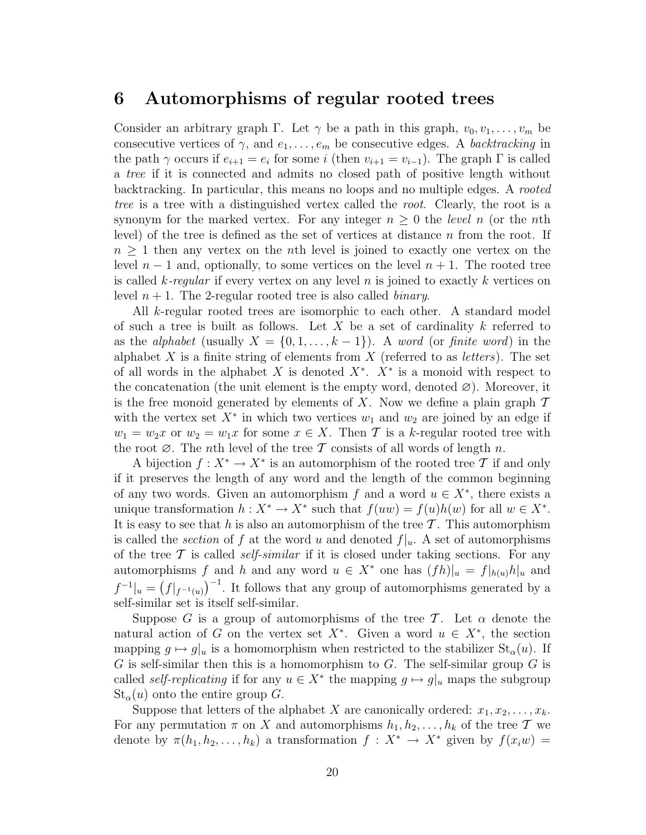### 6 Automorphisms of regular rooted trees

Consider an arbitrary graph Γ. Let  $\gamma$  be a path in this graph,  $v_0, v_1, \ldots, v_m$  be consecutive vertices of  $\gamma$ , and  $e_1, \ldots, e_m$  be consecutive edges. A *backtracking* in the path  $\gamma$  occurs if  $e_{i+1} = e_i$  for some i (then  $v_{i+1} = v_{i-1}$ ). The graph  $\Gamma$  is called a tree if it is connected and admits no closed path of positive length without backtracking. In particular, this means no loops and no multiple edges. A rooted tree is a tree with a distinguished vertex called the root. Clearly, the root is a synonym for the marked vertex. For any integer  $n \geq 0$  the *level* n (or the nth level) of the tree is defined as the set of vertices at distance n from the root. If  $n \geq 1$  then any vertex on the *n*th level is joined to exactly one vertex on the level  $n-1$  and, optionally, to some vertices on the level  $n+1$ . The rooted tree is called k-regular if every vertex on any level n is joined to exactly k vertices on level  $n + 1$ . The 2-regular rooted tree is also called *binary*.

All k-regular rooted trees are isomorphic to each other. A standard model of such a tree is built as follows. Let X be a set of cardinality  $k$  referred to as the alphabet (usually  $X = \{0, 1, \ldots, k-1\}$ ). A word (or finite word) in the alphabet X is a finite string of elements from  $X$  (referred to as *letters*). The set of all words in the alphabet X is denoted  $X^*$ .  $X^*$  is a monoid with respect to the concatenation (the unit element is the empty word, denoted  $\varnothing$ ). Moreover, it is the free monoid generated by elements of X. Now we define a plain graph  $\mathcal T$ with the vertex set  $X^*$  in which two vertices  $w_1$  and  $w_2$  are joined by an edge if  $w_1 = w_2x$  or  $w_2 = w_1x$  for some  $x \in X$ . Then T is a k-regular rooted tree with the root  $\emptyset$ . The *n*th level of the tree T consists of all words of length n.

A bijection  $f: X^* \to X^*$  is an automorphism of the rooted tree T if and only if it preserves the length of any word and the length of the common beginning of any two words. Given an automorphism f and a word  $u \in X^*$ , there exists a unique transformation  $h: X^* \to X^*$  such that  $f(uw) = f(u)h(w)$  for all  $w \in X^*$ . It is easy to see that h is also an automorphism of the tree  $\mathcal T$ . This automorphism is called the *section* of f at the word u and denoted  $f|_u$ . A set of automorphisms of the tree  $\mathcal T$  is called *self-similar* if it is closed under taking sections. For any automorphisms f and h and any word  $u \in X^*$  one has  $(fh)|_u = f|_{h(u)}h|_u$  and  $f^{-1}|_u = (f|_{f^{-1}(u)})^{-1}$ . It follows that any group of automorphisms generated by a self-similar set is itself self-similar.

Suppose G is a group of automorphisms of the tree T. Let  $\alpha$  denote the natural action of G on the vertex set  $X^*$ . Given a word  $u \in X^*$ , the section mapping  $g \mapsto g|_u$  is a homomorphism when restricted to the stabilizer  $St_\alpha(u)$ . If G is self-similar then this is a homomorphism to G. The self-similar group  $G$  is called *self-replicating* if for any  $u \in X^*$  the mapping  $g \mapsto g|_u$  maps the subgroup  $St_{\alpha}(u)$  onto the entire group G.

Suppose that letters of the alphabet X are canonically ordered:  $x_1, x_2, \ldots, x_k$ . For any permutation  $\pi$  on X and automorphisms  $h_1, h_2, \ldots, h_k$  of the tree T we denote by  $\pi(h_1, h_2, \ldots, h_k)$  a transformation  $f : X^* \to X^*$  given by  $f(x_iw) =$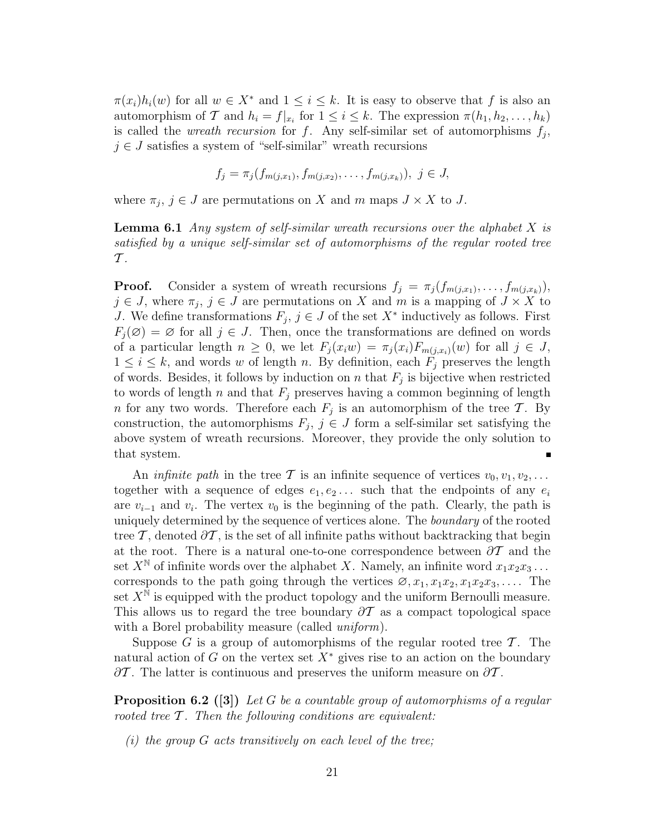$\pi(x_i)h_i(w)$  for all  $w \in X^*$  and  $1 \leq i \leq k$ . It is easy to observe that f is also an automorphism of T and  $h_i = f|_{x_i}$  for  $1 \leq i \leq k$ . The expression  $\pi(h_1, h_2, \ldots, h_k)$ is called the *wreath recursion* for f. Any self-similar set of automorphisms  $f_j$ ,  $j \in J$  satisfies a system of "self-similar" wreath recursions

$$
f_j = \pi_j(f_{m(j,x_1)}, f_{m(j,x_2)}, \ldots, f_{m(j,x_k)}), \ j \in J,
$$

where  $\pi_j$ ,  $j \in J$  are permutations on X and m maps  $J \times X$  to J.

**Lemma 6.1** Any system of self-similar wreath recursions over the alphabet X is satisfied by a unique self-similar set of automorphisms of the regular rooted tree  $\mathcal{T}$ .

**Proof.** Consider a system of wreath recursions  $f_j = \pi_j(f_{m(j,x_1)}, \ldots, f_{m(j,x_k)}),$  $j \in J$ , where  $\pi_j$ ,  $j \in J$  are permutations on X and m is a mapping of  $J \times X$  to J. We define transformations  $F_j$ ,  $j \in J$  of the set  $X^*$  inductively as follows. First  $F_i(\mathcal{O}) = \mathcal{O}$  for all  $j \in J$ . Then, once the transformations are defined on words of a particular length  $n \geq 0$ , we let  $F_i(x_iw) = \pi_i(x_i)F_{m(j,x_i)}(w)$  for all  $j \in J$ ,  $1 \leq i \leq k$ , and words w of length n. By definition, each  $F_j$  preserves the length of words. Besides, it follows by induction on n that  $F_j$  is bijective when restricted to words of length n and that  $F_i$  preserves having a common beginning of length *n* for any two words. Therefore each  $F_j$  is an automorphism of the tree T. By construction, the automorphisms  $F_j$ ,  $j \in J$  form a self-similar set satisfying the above system of wreath recursions. Moreover, they provide the only solution to that system.

An *infinite path* in the tree T is an infinite sequence of vertices  $v_0, v_1, v_2, \ldots$ together with a sequence of edges  $e_1, e_2, \ldots$  such that the endpoints of any  $e_i$ are  $v_{i-1}$  and  $v_i$ . The vertex  $v_0$  is the beginning of the path. Clearly, the path is uniquely determined by the sequence of vertices alone. The *boundary* of the rooted tree T, denoted  $\partial T$ , is the set of all infinite paths without backtracking that begin at the root. There is a natural one-to-one correspondence between  $\partial \mathcal{T}$  and the set  $X^{\mathbb{N}}$  of infinite words over the alphabet X. Namely, an infinite word  $x_1x_2x_3 \ldots$ corresponds to the path going through the vertices  $\emptyset, x_1, x_1x_2, x_1x_2x_3, \ldots$  The set  $X^{\mathbb{N}}$  is equipped with the product topology and the uniform Bernoulli measure. This allows us to regard the tree boundary  $\partial \mathcal{T}$  as a compact topological space with a Borel probability measure (called *uniform*).

Suppose G is a group of automorphisms of the regular rooted tree  $\mathcal T$ . The natural action of G on the vertex set  $X^*$  gives rise to an action on the boundary  $\partial\mathcal{T}$ . The latter is continuous and preserves the uniform measure on  $\partial\mathcal{T}$ .

**Proposition 6.2** ([3]) Let G be a countable group of automorphisms of a regular rooted tree  $\mathcal T$ . Then the following conditions are equivalent:

(i) the group  $G$  acts transitively on each level of the tree;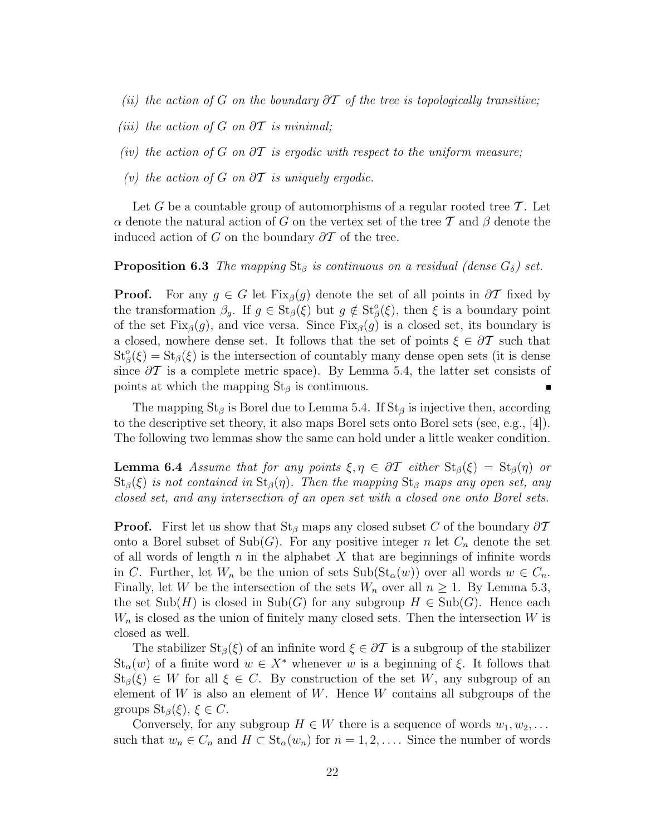- (ii) the action of G on the boundary  $\partial \mathcal{T}$  of the tree is topologically transitive;
- (iii) the action of G on  $\partial T$  is minimal;
- (iv) the action of G on  $\partial T$  is ergodic with respect to the uniform measure;
- (v) the action of G on  $\partial T$  is uniquely ergodic.

Let G be a countable group of automorphisms of a regular rooted tree  $\mathcal T$ . Let  $\alpha$  denote the natural action of G on the vertex set of the tree T and  $\beta$  denote the induced action of G on the boundary  $\partial \mathcal{T}$  of the tree.

#### **Proposition 6.3** The mapping  $St_\beta$  is continuous on a residual (dense  $G_\delta$ ) set.

**Proof.** For any  $g \in G$  let Fix<sub>β</sub>(g) denote the set of all points in  $\partial T$  fixed by the transformation  $\beta_g$ . If  $g \in \text{St}_{\beta}(\xi)$  but  $g \notin \text{St}_{\beta}^o(\xi)$ , then  $\xi$  is a boundary point of the set Fix<sub>β</sub>(g), and vice versa. Since Fix<sub>β</sub>(g) is a closed set, its boundary is a closed, nowhere dense set. It follows that the set of points  $\xi \in \partial \mathcal{T}$  such that  $St^o_{\beta}(\xi) = St_{\beta}(\xi)$  is the intersection of countably many dense open sets (it is dense since  $\partial T$  is a complete metric space). By Lemma 5.4, the latter set consists of points at which the mapping  $St_\beta$  is continuous.

The mapping St<sub>β</sub> is Borel due to Lemma 5.4. If St<sub>β</sub> is injective then, according to the descriptive set theory, it also maps Borel sets onto Borel sets (see, e.g., [4]). The following two lemmas show the same can hold under a little weaker condition.

**Lemma 6.4** Assume that for any points  $\xi, \eta \in \partial T$  either  $St_{\beta}(\xi) = St_{\beta}(\eta)$  or  $St<sub>\beta</sub>(\xi)$  is not contained in  $St<sub>\beta</sub>(\eta)$ . Then the mapping  $St<sub>\beta</sub>$  maps any open set, any closed set, and any intersection of an open set with a closed one onto Borel sets.

**Proof.** First let us show that  $St_\beta$  maps any closed subset C of the boundary  $\partial \mathcal{T}$ onto a Borel subset of  $\text{Sub}(G)$ . For any positive integer n let  $C_n$  denote the set of all words of length n in the alphabet X that are beginnings of infinite words in C. Further, let  $W_n$  be the union of sets  $\text{Sub}(\text{St}_{\alpha}(w))$  over all words  $w \in C_n$ . Finally, let W be the intersection of the sets  $W_n$  over all  $n \geq 1$ . By Lemma 5.3, the set  $\text{Sub}(H)$  is closed in  $\text{Sub}(G)$  for any subgroup  $H \in \text{Sub}(G)$ . Hence each  $W_n$  is closed as the union of finitely many closed sets. Then the intersection W is closed as well.

The stabilizer  $St_\beta(\xi)$  of an infinite word  $\xi \in \partial \mathcal{T}$  is a subgroup of the stabilizer  $St_{\alpha}(w)$  of a finite word  $w \in X^*$  whenever w is a beginning of  $\xi$ . It follows that  $St_{\beta}(\xi) \in W$  for all  $\xi \in C$ . By construction of the set W, any subgroup of an element of W is also an element of W. Hence W contains all subgroups of the groups  $St_{\beta}(\xi)$ ,  $\xi \in C$ .

Conversely, for any subgroup  $H \in W$  there is a sequence of words  $w_1, w_2, \ldots$ such that  $w_n \in C_n$  and  $H \subset St_\alpha(w_n)$  for  $n = 1, 2, \ldots$ . Since the number of words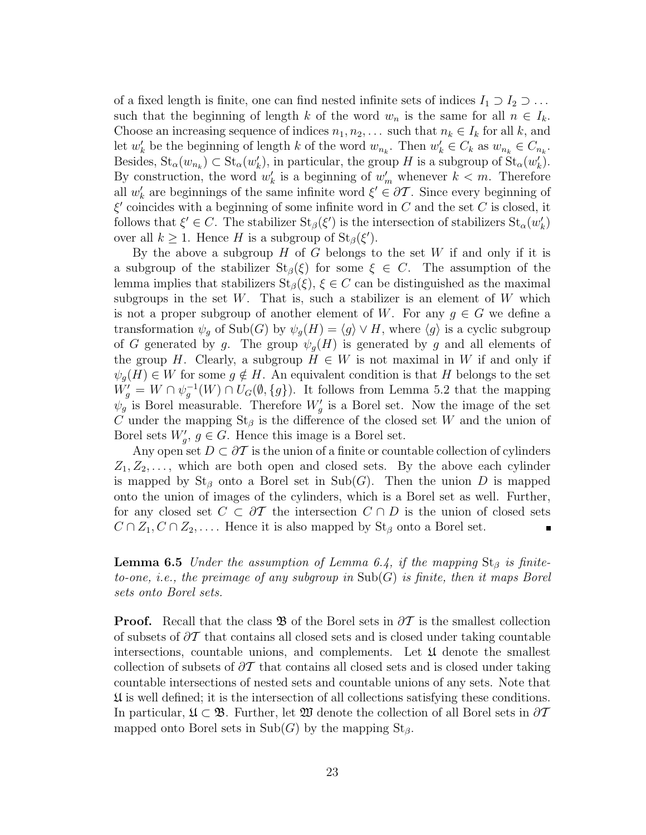of a fixed length is finite, one can find nested infinite sets of indices  $I_1 \supset I_2 \supset \dots$ such that the beginning of length k of the word  $w_n$  is the same for all  $n \in I_k$ . Choose an increasing sequence of indices  $n_1, n_2, \ldots$  such that  $n_k \in I_k$  for all k, and let  $w'_k$  be the beginning of length k of the word  $w_{n_k}$ . Then  $w'_k \in C_k$  as  $w_{n_k} \in C_{n_k}$ . Besides,  $\text{St}_{\alpha}(w_{n_k}) \subset \text{St}_{\alpha}(w'_k)$ , in particular, the group H is a subgroup of  $\text{St}_{\alpha}(w'_k)$ . By construction, the word  $w'_k$  is a beginning of  $w'_m$  whenever  $k < m$ . Therefore all  $w'_k$  are beginnings of the same infinite word  $\xi' \in \partial \mathcal{T}$ . Since every beginning of  $\xi'$  coincides with a beginning of some infinite word in C and the set C is closed, it follows that  $\xi' \in C$ . The stabilizer  $St_{\beta}(\xi')$  is the intersection of stabilizers  $St_{\alpha}(w'_{k})$ over all  $k \geq 1$ . Hence H is a subgroup of  $\text{St}_{\beta}(\xi')$ .

By the above a subgroup  $H$  of  $G$  belongs to the set  $W$  if and only if it is a subgroup of the stabilizer  $St_\beta(\xi)$  for some  $\xi \in C$ . The assumption of the lemma implies that stabilizers  $St_\beta(\xi)$ ,  $\xi \in C$  can be distinguished as the maximal subgroups in the set  $W$ . That is, such a stabilizer is an element of  $W$  which is not a proper subgroup of another element of W. For any  $g \in G$  we define a transformation  $\psi_g$  of Sub(G) by  $\psi_g(H) = \langle g \rangle \vee H$ , where  $\langle g \rangle$  is a cyclic subgroup of G generated by g. The group  $\psi_q(H)$  is generated by g and all elements of the group H. Clearly, a subgroup  $H \in W$  is not maximal in W if and only if  $\psi_q(H) \in W$  for some  $g \notin H$ . An equivalent condition is that H belongs to the set  $W'_g = W \cap \psi_g^{-1}(W) \cap U_G(\emptyset, \{g\}).$  It follows from Lemma 5.2 that the mapping  $\psi_g$  is Borel measurable. Therefore  $W'_g$  is a Borel set. Now the image of the set C under the mapping  $St_\beta$  is the difference of the closed set W and the union of Borel sets  $W'_g$ ,  $g \in G$ . Hence this image is a Borel set.

Any open set  $D \subset \partial T$  is the union of a finite or countable collection of cylinders  $Z_1, Z_2, \ldots$ , which are both open and closed sets. By the above each cylinder is mapped by  $St_\beta$  onto a Borel set in Sub(G). Then the union D is mapped onto the union of images of the cylinders, which is a Borel set as well. Further, for any closed set  $C \subset \partial \mathcal{T}$  the intersection  $C \cap D$  is the union of closed sets  $C \cap Z_1, C \cap Z_2, \ldots$  Hence it is also mapped by  $St_\beta$  onto a Borel set.

**Lemma 6.5** Under the assumption of Lemma 6.4, if the mapping  $St^{\beta}$  is finiteto-one, i.e., the preimage of any subgroup in  $\text{Sub}(G)$  is finite, then it maps Borel sets onto Borel sets.

**Proof.** Recall that the class **B** of the Borel sets in  $\partial \mathcal{T}$  is the smallest collection of subsets of  $\partial \mathcal{T}$  that contains all closed sets and is closed under taking countable intersections, countable unions, and complements. Let  $\mathfrak U$  denote the smallest collection of subsets of  $\partial \mathcal{T}$  that contains all closed sets and is closed under taking countable intersections of nested sets and countable unions of any sets. Note that U is well defined; it is the intersection of all collections satisfying these conditions. In particular,  $\mathfrak{U} \subset \mathfrak{B}$ . Further, let  $\mathfrak{W}$  denote the collection of all Borel sets in  $\partial \mathcal{T}$ mapped onto Borel sets in  $\text{Sub}(G)$  by the mapping  $\text{St}_{\beta}$ .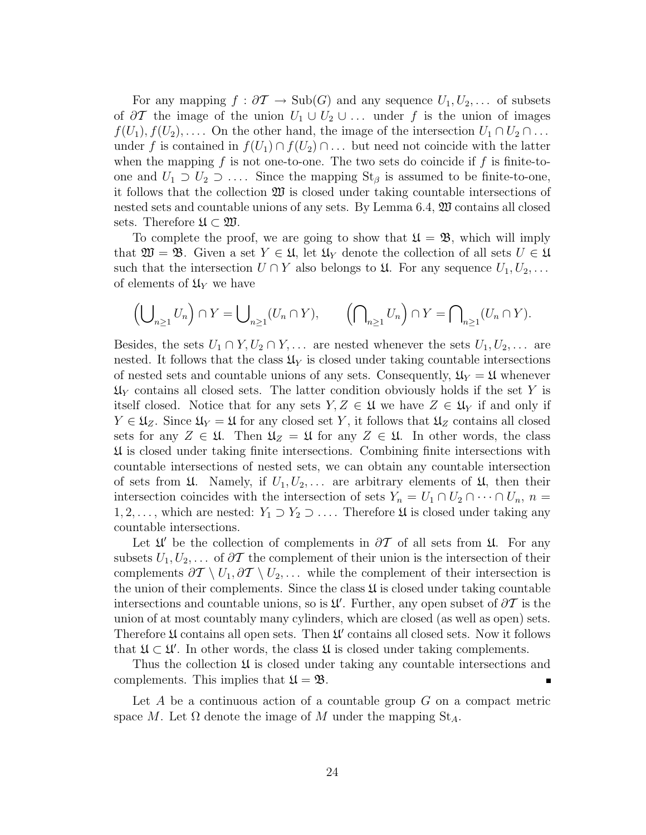For any mapping  $f : \partial \mathcal{T} \to \text{Sub}(G)$  and any sequence  $U_1, U_2, \ldots$  of subsets of  $\partial T$  the image of the union  $U_1 \cup U_2 \cup \ldots$  under f is the union of images  $f(U_1), f(U_2), \ldots$  On the other hand, the image of the intersection  $U_1 \cap U_2 \cap \ldots$ under f is contained in  $f(U_1) \cap f(U_2) \cap \ldots$  but need not coincide with the latter when the mapping  $f$  is not one-to-one. The two sets do coincide if  $f$  is finite-toone and  $U_1 \supset U_2 \supset \ldots$ . Since the mapping  $St_\beta$  is assumed to be finite-to-one, it follows that the collection  $\mathfrak W$  is closed under taking countable intersections of nested sets and countable unions of any sets. By Lemma 6.4, W contains all closed sets. Therefore  $\mathfrak{U} \subset \mathfrak{W}$ .

To complete the proof, we are going to show that  $\mathfrak{U} = \mathfrak{B}$ , which will imply that  $\mathfrak{W} = \mathfrak{B}$ . Given a set  $Y \in \mathfrak{U}$ , let  $\mathfrak{U}_Y$  denote the collection of all sets  $U \in \mathfrak{U}$ such that the intersection  $U \cap Y$  also belongs to  $\mathfrak{U}$ . For any sequence  $U_1, U_2, \ldots$ of elements of  $\mathfrak{U}_Y$  we have

$$
\left(\bigcup\nolimits_{n\geq 1} U_n\right)\cap Y = \bigcup\nolimits_{n\geq 1} (U_n\cap Y), \qquad \left(\bigcap\nolimits_{n\geq 1} U_n\right)\cap Y = \bigcap\nolimits_{n\geq 1} (U_n\cap Y).
$$

Besides, the sets  $U_1 \cap Y, U_2 \cap Y, \ldots$  are nested whenever the sets  $U_1, U_2, \ldots$  are nested. It follows that the class  $\mathfrak{U}_Y$  is closed under taking countable intersections of nested sets and countable unions of any sets. Consequently,  $\mathfrak{U}_Y = \mathfrak{U}$  whenever  $\mathfrak{U}_Y$  contains all closed sets. The latter condition obviously holds if the set Y is itself closed. Notice that for any sets  $Y, Z \in \mathfrak{U}$  we have  $Z \in \mathfrak{U}_Y$  if and only if  $Y \in \mathfrak{U}_Z$ . Since  $\mathfrak{U}_Y = \mathfrak{U}$  for any closed set Y, it follows that  $\mathfrak{U}_Z$  contains all closed sets for any  $Z \in \mathfrak{U}$ . Then  $\mathfrak{U}_Z = \mathfrak{U}$  for any  $Z \in \mathfrak{U}$ . In other words, the class U is closed under taking finite intersections. Combining finite intersections with countable intersections of nested sets, we can obtain any countable intersection of sets from  $\mathfrak{U}$ . Namely, if  $U_1, U_2, \ldots$  are arbitrary elements of  $\mathfrak{U}$ , then their intersection coincides with the intersection of sets  $Y_n = U_1 \cap U_2 \cap \cdots \cap U_n$ ,  $n =$ 1, 2,..., which are nested:  $Y_1 \supset Y_2 \supset \ldots$ . Therefore  $\mathfrak U$  is closed under taking any countable intersections.

Let  $\mathfrak{U}'$  be the collection of complements in  $\partial \mathcal{T}$  of all sets from  $\mathfrak{U}$ . For any subsets  $U_1, U_2, \ldots$  of  $\partial T$  the complement of their union is the intersection of their complements  $\partial \mathcal{T} \setminus U_1, \partial \mathcal{T} \setminus U_2, \ldots$  while the complement of their intersection is the union of their complements. Since the class  $\mathfrak U$  is closed under taking countable intersections and countable unions, so is  $\mathfrak{U}'$ . Further, any open subset of  $\partial \mathcal{T}$  is the union of at most countably many cylinders, which are closed (as well as open) sets. Therefore  $\mathfrak U$  contains all open sets. Then  $\mathfrak U'$  contains all closed sets. Now it follows that  $\mathfrak{U} \subset \mathfrak{U}'$ . In other words, the class  $\mathfrak{U}$  is closed under taking complements.

Thus the collection  $\mathfrak U$  is closed under taking any countable intersections and complements. This implies that  $\mathfrak{U} = \mathfrak{B}$ .

Let  $A$  be a continuous action of a countable group  $G$  on a compact metric space M. Let  $\Omega$  denote the image of M under the mapping  $St_A$ .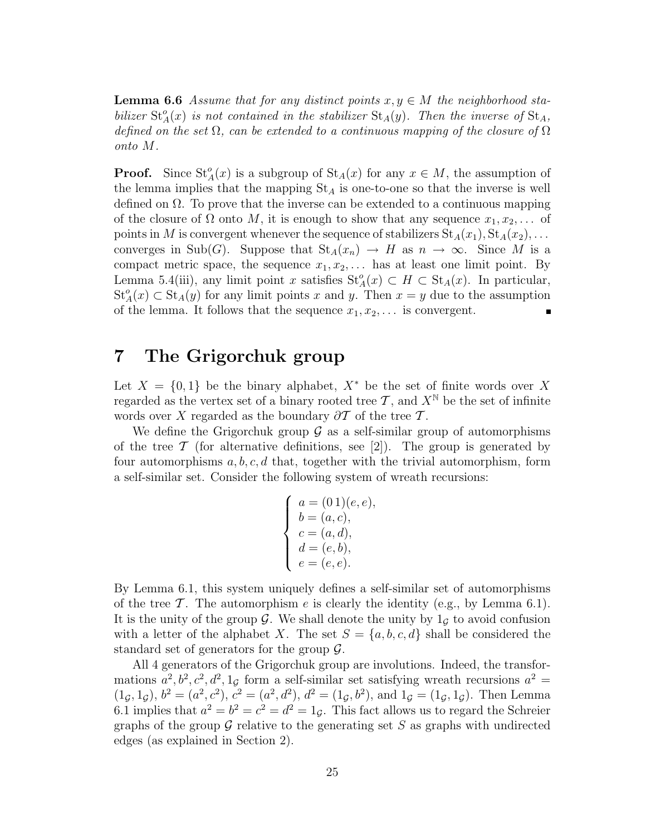**Lemma 6.6** Assume that for any distinct points  $x, y \in M$  the neighborhood stabilizer  $St_A(x)$  is not contained in the stabilizer  $St_A(y)$ . Then the inverse of  $St_A$ , defined on the set  $\Omega$ , can be extended to a continuous mapping of the closure of  $\Omega$ onto M.

**Proof.** Since  $St_A^o(x)$  is a subgroup of  $St_A(x)$  for any  $x \in M$ , the assumption of the lemma implies that the mapping  $St_A$  is one-to-one so that the inverse is well defined on  $\Omega$ . To prove that the inverse can be extended to a continuous mapping of the closure of  $\Omega$  onto  $M$ , it is enough to show that any sequence  $x_1, x_2, \ldots$  of points in M is convergent whenever the sequence of stabilizers  $St_A(x_1), St_A(x_2), \ldots$ converges in Sub(G). Suppose that  $St_A(x_n) \to H$  as  $n \to \infty$ . Since M is a compact metric space, the sequence  $x_1, x_2, \ldots$  has at least one limit point. By Lemma 5.4(iii), any limit point x satisfies  $St_A^o(x) \subset H \subset St_A(x)$ . In particular,  $St_A^o(x) \subset St_A(y)$  for any limit points x and y. Then  $x = y$  due to the assumption of the lemma. It follows that the sequence  $x_1, x_2, \ldots$  is convergent.

### 7 The Grigorchuk group

Let  $X = \{0, 1\}$  be the binary alphabet,  $X^*$  be the set of finite words over X regarded as the vertex set of a binary rooted tree  $\mathcal{T}$ , and  $X^{\mathbb{N}}$  be the set of infinite words over X regarded as the boundary  $\partial \mathcal{T}$  of the tree  $\mathcal{T}$ .

We define the Grigorchuk group  $\mathcal G$  as a self-similar group of automorphisms of the tree  $\mathcal T$  (for alternative definitions, see [2]). The group is generated by four automorphisms  $a, b, c, d$  that, together with the trivial automorphism, form a self-similar set. Consider the following system of wreath recursions:

$$
\begin{cases}\n a = (01)(e, e), \n b = (a, c), \n c = (a, d), \n d = (e, b), \n e = (e, e).\n\end{cases}
$$

By Lemma 6.1, this system uniquely defines a self-similar set of automorphisms of the tree T. The automorphism e is clearly the identity (e.g., by Lemma 6.1). It is the unity of the group  $\mathcal G$ . We shall denote the unity by  $1_G$  to avoid confusion with a letter of the alphabet X. The set  $S = \{a, b, c, d\}$  shall be considered the standard set of generators for the group  $\mathcal{G}$ .

All 4 generators of the Grigorchuk group are involutions. Indeed, the transformations  $a^2, b^2, c^2, d^2, 1<sub>g</sub>$  form a self-similar set satisfying wreath recursions  $a^2 =$  $(1_{\mathcal{G}}, 1_{\mathcal{G}}), b^2 = (a^2, c^2), c^2 = (a^2, d^2), d^2 = (1_{\mathcal{G}}, b^2), \text{ and } 1_{\mathcal{G}} = (1_{\mathcal{G}}, 1_{\mathcal{G}}).$  Then Lemma 6.1 implies that  $a^2 = b^2 = c^2 = d^2 = 1_{\mathcal{G}}$ . This fact allows us to regard the Schreier graphs of the group  $\mathcal G$  relative to the generating set S as graphs with undirected edges (as explained in Section 2).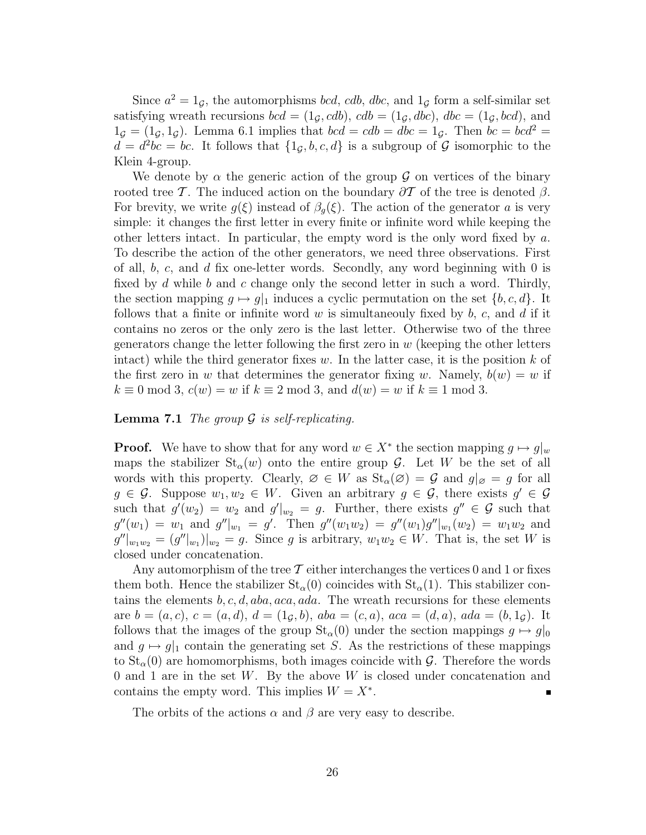Since  $a^2 = 1_{\mathcal{G}}$ , the automorphisms *bcd*, *cdb*, *dbc*, and  $1_{\mathcal{G}}$  form a self-similar set satisfying wreath recursions  $bcd = (1_{\mathcal{G}}, cdb)$ ,  $cdb = (1_{\mathcal{G}}, dbc)$ ,  $dbc = (1_{\mathcal{G}}, bcd)$ , and  $1<sub>G</sub> = (1<sub>G</sub>, 1<sub>G</sub>)$ . Lemma 6.1 implies that  $bcd = cdb = dbc = 1<sub>G</sub>$ . Then  $bc = bcd^2 =$  $d = d^2bc = bc$ . It follows that  $\{1_{\mathcal{G}}, b, c, d\}$  is a subgroup of  $\mathcal{G}$  isomorphic to the Klein 4-group.

We denote by  $\alpha$  the generic action of the group G on vertices of the binary rooted tree T. The induced action on the boundary  $\partial \mathcal{T}$  of the tree is denoted  $\beta$ . For brevity, we write  $g(\xi)$  instead of  $\beta_g(\xi)$ . The action of the generator a is very simple: it changes the first letter in every finite or infinite word while keeping the other letters intact. In particular, the empty word is the only word fixed by a. To describe the action of the other generators, we need three observations. First of all,  $b, c,$  and  $d$  fix one-letter words. Secondly, any word beginning with 0 is fixed by  $d$  while  $b$  and  $c$  change only the second letter in such a word. Thirdly, the section mapping  $g \mapsto g|_1$  induces a cyclic permutation on the set  $\{b,c,d\}$ . It follows that a finite or infinite word  $w$  is simultaneouly fixed by  $b, c,$  and  $d$  if it contains no zeros or the only zero is the last letter. Otherwise two of the three generators change the letter following the first zero in  $w$  (keeping the other letters intact) while the third generator fixes w. In the latter case, it is the position  $k$  of the first zero in w that determines the generator fixing w. Namely,  $b(w) = w$  if  $k \equiv 0 \mod 3$ ,  $c(w) = w$  if  $k \equiv 2 \mod 3$ , and  $d(w) = w$  if  $k \equiv 1 \mod 3$ .

#### **Lemma 7.1** The group  $\mathcal G$  is self-replicating.

**Proof.** We have to show that for any word  $w \in X^*$  the section mapping  $g \mapsto g|_w$ maps the stabilizer  $St_\alpha(w)$  onto the entire group  $\mathcal G$ . Let W be the set of all words with this property. Clearly,  $\emptyset \in W$  as  $St_{\alpha}(\emptyset) = \mathcal{G}$  and  $g|_{\emptyset} = g$  for all  $g \in \mathcal{G}$ . Suppose  $w_1, w_2 \in W$ . Given an arbitrary  $g \in \mathcal{G}$ , there exists  $g' \in \mathcal{G}$ such that  $g'(w_2) = w_2$  and  $g'|_{w_2} = g$ . Further, there exists  $g'' \in \mathcal{G}$  such that  $g''(w_1) = w_1$  and  $g''|_{w_1} = g'$ . Then  $g''(w_1w_2) = g''(w_1)g''|_{w_1}(w_2) = w_1w_2$  and  $g''|_{w_1w_2} = (g''|_{w_1})|_{w_2} = g$ . Since g is arbitrary,  $w_1w_2 \in W$ . That is, the set W is closed under concatenation.

Any automorphism of the tree  $\mathcal T$  either interchanges the vertices 0 and 1 or fixes them both. Hence the stabilizer  $St_{\alpha}(0)$  coincides with  $St_{\alpha}(1)$ . This stabilizer contains the elements  $b, c, d, aba, aca, ada$ . The wreath recursions for these elements are  $b = (a, c), c = (a, d), d = (1<sub>G</sub>, b), aba = (c, a), aca = (d, a), ada = (b, 1<sub>G</sub>).$  It follows that the images of the group  $St_{\alpha}(0)$  under the section mappings  $g \mapsto g|_{0}$ and  $g \mapsto g|_1$  contain the generating set S. As the restrictions of these mappings to  $St_{\alpha}(0)$  are homomorphisms, both images coincide with G. Therefore the words 0 and 1 are in the set W. By the above W is closed under concatenation and contains the empty word. This implies  $W = X^*$ .  $\blacksquare$ 

The orbits of the actions  $\alpha$  and  $\beta$  are very easy to describe.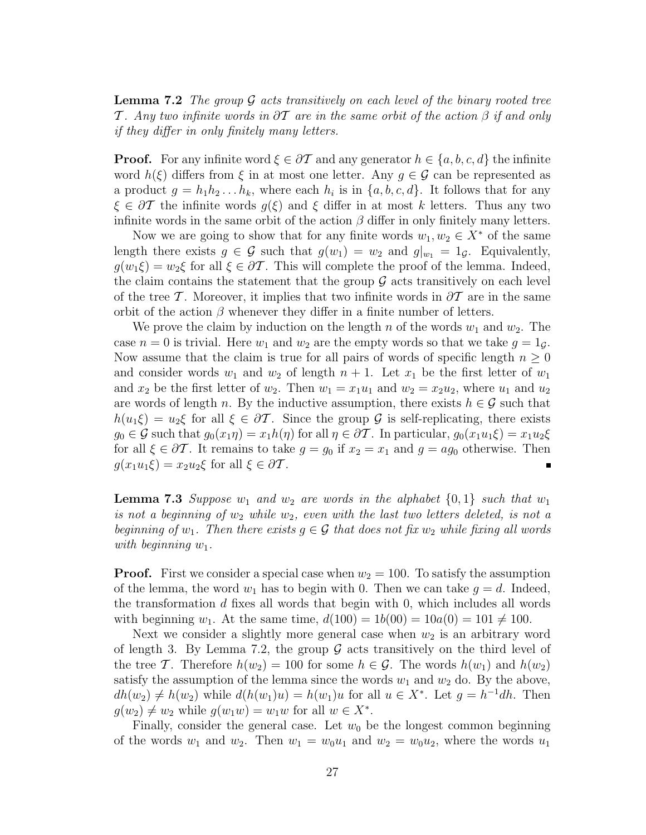**Lemma 7.2** The group  $\mathcal G$  acts transitively on each level of the binary rooted tree T. Any two infinite words in  $\partial\mathcal{T}$  are in the same orbit of the action  $\beta$  if and only if they differ in only finitely many letters.

**Proof.** For any infinite word  $\xi \in \partial \mathcal{T}$  and any generator  $h \in \{a, b, c, d\}$  the infinite word  $h(\xi)$  differs from  $\xi$  in at most one letter. Any  $g \in \mathcal{G}$  can be represented as a product  $g = h_1 h_2 \dots h_k$ , where each  $h_i$  is in  $\{a, b, c, d\}$ . It follows that for any  $\xi \in \partial \mathcal{T}$  the infinite words  $g(\xi)$  and  $\xi$  differ in at most k letters. Thus any two infinite words in the same orbit of the action  $\beta$  differ in only finitely many letters.

Now we are going to show that for any finite words  $w_1, w_2 \in X^*$  of the same length there exists  $g \in \mathcal{G}$  such that  $g(w_1) = w_2$  and  $g|_{w_1} = 1_{\mathcal{G}}$ . Equivalently,  $g(w_1\xi) = w_2\xi$  for all  $\xi \in \partial \mathcal{T}$ . This will complete the proof of the lemma. Indeed, the claim contains the statement that the group  $\mathcal G$  acts transitively on each level of the tree T. Moreover, it implies that two infinite words in  $\partial\mathcal{T}$  are in the same orbit of the action  $\beta$  whenever they differ in a finite number of letters.

We prove the claim by induction on the length n of the words  $w_1$  and  $w_2$ . The case  $n = 0$  is trivial. Here  $w_1$  and  $w_2$  are the empty words so that we take  $q = 1<sub>d</sub>$ . Now assume that the claim is true for all pairs of words of specific length  $n \geq 0$ and consider words  $w_1$  and  $w_2$  of length  $n + 1$ . Let  $x_1$  be the first letter of  $w_1$ and  $x_2$  be the first letter of  $w_2$ . Then  $w_1 = x_1u_1$  and  $w_2 = x_2u_2$ , where  $u_1$  and  $u_2$ are words of length n. By the inductive assumption, there exists  $h \in \mathcal{G}$  such that  $h(u_1\xi) = u_2\xi$  for all  $\xi \in \partial \mathcal{T}$ . Since the group  $\mathcal{G}$  is self-replicating, there exists  $g_0 \in \mathcal{G}$  such that  $g_0(x_1\eta) = x_1h(\eta)$  for all  $\eta \in \partial \mathcal{T}$ . In particular,  $g_0(x_1u_1\xi) = x_1u_2\xi$ for all  $\xi \in \partial \mathcal{T}$ . It remains to take  $g = g_0$  if  $x_2 = x_1$  and  $g = ag_0$  otherwise. Then  $g(x_1u_1\xi) = x_2u_2\xi$  for all  $\xi \in \partial \mathcal{T}$ .

**Lemma 7.3** Suppose  $w_1$  and  $w_2$  are words in the alphabet  $\{0, 1\}$  such that  $w_1$ is not a beginning of  $w_2$  while  $w_2$ , even with the last two letters deleted, is not a beginning of  $w_1$ . Then there exists  $g \in \mathcal{G}$  that does not fix  $w_2$  while fixing all words with beginning  $w_1$ .

**Proof.** First we consider a special case when  $w_2 = 100$ . To satisfy the assumption of the lemma, the word  $w_1$  has to begin with 0. Then we can take  $g = d$ . Indeed, the transformation  $d$  fixes all words that begin with 0, which includes all words with beginning  $w_1$ . At the same time,  $d(100) = 1b(00) = 10a(0) = 101 \neq 100$ .

Next we consider a slightly more general case when  $w_2$  is an arbitrary word of length 3. By Lemma 7.2, the group  $\mathcal G$  acts transitively on the third level of the tree T. Therefore  $h(w_2) = 100$  for some  $h \in \mathcal{G}$ . The words  $h(w_1)$  and  $h(w_2)$ satisfy the assumption of the lemma since the words  $w_1$  and  $w_2$  do. By the above,  $dh(w_2) \neq h(w_2)$  while  $d(h(w_1)u) = h(w_1)u$  for all  $u \in X^*$ . Let  $g = h^{-1}dh$ . Then  $g(w_2) \neq w_2$  while  $g(w_1w) = w_1w$  for all  $w \in X^*$ .

Finally, consider the general case. Let  $w_0$  be the longest common beginning of the words  $w_1$  and  $w_2$ . Then  $w_1 = w_0u_1$  and  $w_2 = w_0u_2$ , where the words  $u_1$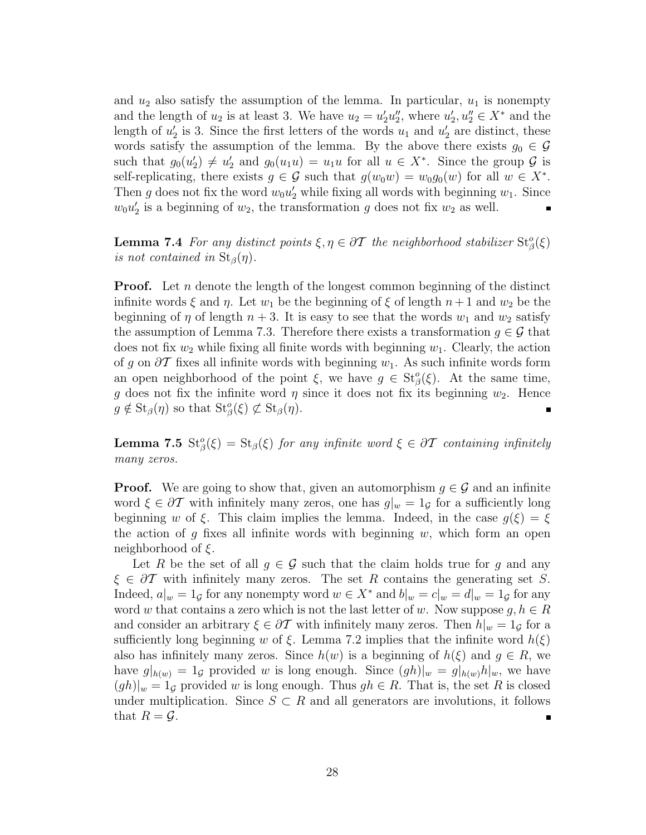and  $u_2$  also satisfy the assumption of the lemma. In particular,  $u_1$  is nonempty and the length of  $u_2$  is at least 3. We have  $u_2 = u'_2u''_2$ , where  $u'_2, u''_2 \in X^*$  and the length of  $u'_2$  is 3. Since the first letters of the words  $u_1$  and  $u'_2$  are distinct, these words satisfy the assumption of the lemma. By the above there exists  $g_0 \in \mathcal{G}$ such that  $g_0(u_2') \neq u_2'$  and  $g_0(u_1u) = u_1u$  for all  $u \in X^*$ . Since the group  $\mathcal G$  is self-replicating, there exists  $g \in \mathcal{G}$  such that  $g(w_0w) = w_0g_0(w)$  for all  $w \in X^*$ . Then g does not fix the word  $w_0u'_2$  while fixing all words with beginning  $w_1$ . Since  $w_0 u_2'$  is a beginning of  $w_2$ , the transformation g does not fix  $w_2$  as well.

**Lemma 7.4** For any distinct points  $\xi, \eta \in \partial \mathcal{T}$  the neighborhood stabilizer  $\text{St}^o_{\beta}(\xi)$ is not contained in  $St_{\beta}(\eta)$ .

**Proof.** Let n denote the length of the longest common beginning of the distinct infinite words  $\xi$  and  $\eta$ . Let  $w_1$  be the beginning of  $\xi$  of length  $n+1$  and  $w_2$  be the beginning of  $\eta$  of length  $n + 3$ . It is easy to see that the words  $w_1$  and  $w_2$  satisfy the assumption of Lemma 7.3. Therefore there exists a transformation  $g \in \mathcal{G}$  that does not fix  $w_2$  while fixing all finite words with beginning  $w_1$ . Clearly, the action of g on  $\partial T$  fixes all infinite words with beginning  $w_1$ . As such infinite words form an open neighborhood of the point  $\xi$ , we have  $g \in St_{\beta}^o(\xi)$ . At the same time, g does not fix the infinite word  $\eta$  since it does not fix its beginning  $w_2$ . Hence  $g \notin \text{St}_{\beta}(\eta)$  so that  $\text{St}_{\beta}^o(\xi) \not\subset \text{St}_{\beta}(\eta)$ .

**Lemma 7.5**  $\text{St}_{\beta}^o(\xi) = \text{St}_{\beta}(\xi)$  for any infinite word  $\xi \in \partial \mathcal{T}$  containing infinitely many zeros.

**Proof.** We are going to show that, given an automorphism  $g \in \mathcal{G}$  and an infinite word  $\xi \in \partial \mathcal{T}$  with infinitely many zeros, one has  $g|_w = 1_{\mathcal{G}}$  for a sufficiently long beginning w of ξ. This claim implies the lemma. Indeed, in the case  $g(\xi) = \xi$ the action of g fixes all infinite words with beginning  $w$ , which form an open neighborhood of  $\xi$ .

Let R be the set of all  $g \in \mathcal{G}$  such that the claim holds true for g and any  $\xi \in \partial \mathcal{T}$  with infinitely many zeros. The set R contains the generating set S. Indeed,  $a|_w = 1_{\mathcal{G}}$  for any nonempty word  $w \in X^*$  and  $b|_w = c|_w = d|_w = 1_{\mathcal{G}}$  for any word w that contains a zero which is not the last letter of w. Now suppose  $g, h \in R$ and consider an arbitrary  $\xi \in \partial T$  with infinitely many zeros. Then  $h|_w = 1_{\mathcal{G}}$  for a sufficiently long beginning w of  $\xi$ . Lemma 7.2 implies that the infinite word  $h(\xi)$ also has infinitely many zeros. Since  $h(w)$  is a beginning of  $h(\xi)$  and  $g \in R$ , we have  $g|_{h(w)} = 1_{\mathcal{G}}$  provided w is long enough. Since  $(gh)|_w = g|_{h(w)}h|_w$ , we have  $(gh)|_w = 1_{\mathcal{G}}$  provided w is long enough. Thus  $gh \in R$ . That is, the set R is closed under multiplication. Since  $S \subset R$  and all generators are involutions, it follows that  $R = \mathcal{G}$ .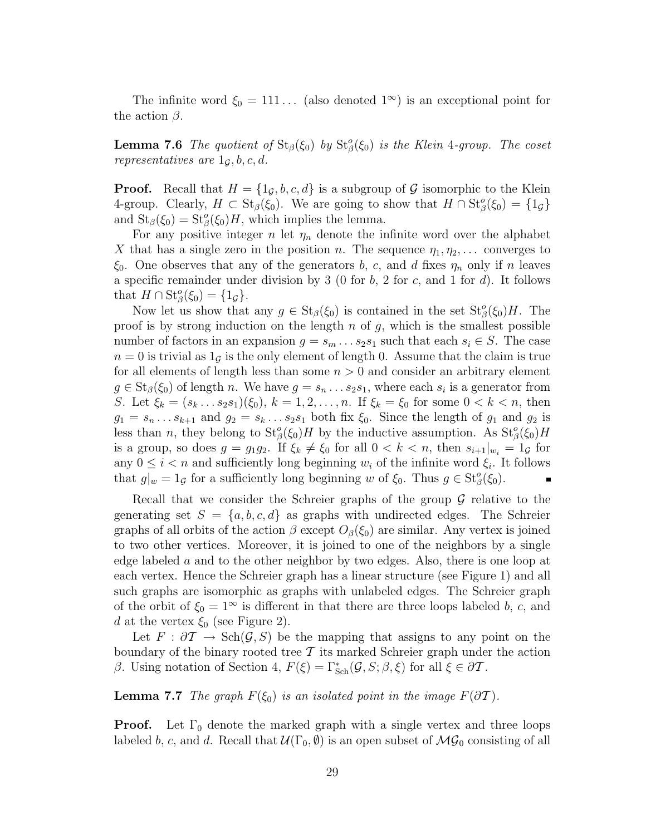The infinite word  $\xi_0 = 111...$  (also denoted  $1^{\infty}$ ) is an exceptional point for the action  $\beta$ .

**Lemma 7.6** The quotient of  $\text{St}_{\beta}(\xi_0)$  by  $\text{St}_{\beta}^o(\xi_0)$  is the Klein 4-group. The coset representatives are  $1<sub>G</sub>, b, c, d$ .

**Proof.** Recall that  $H = \{1_G, b, c, d\}$  is a subgroup of G isomorphic to the Klein 4-group. Clearly,  $H \subset \text{St}_{\beta}(\xi_0)$ . We are going to show that  $H \cap \text{St}_{\beta}^o(\xi_0) = \{1_{\mathcal{G}}\}$ and  $\text{St}_{\beta}(\xi_0) = \text{St}_{\beta}^o(\xi_0)H$ , which implies the lemma.

For any positive integer n let  $\eta_n$  denote the infinite word over the alphabet X that has a single zero in the position n. The sequence  $\eta_1, \eta_2, \ldots$  converges to  $\xi_0$ . One observes that any of the generators b, c, and d fixes  $\eta_n$  only if n leaves a specific remainder under division by 3 (0 for  $b$ , 2 for  $c$ , and 1 for  $d$ ). It follows that  $H \cap \operatorname{St}_{\beta}^o(\xi_0) = \{1_{\mathcal{G}}\}.$ 

Now let us show that any  $g \in St_{\beta}(\xi_0)$  is contained in the set  $St_{\beta}^o(\xi_0)H$ . The proof is by strong induction on the length  $n$  of  $g$ , which is the smallest possible number of factors in an expansion  $g = s_m \dots s_2 s_1$  such that each  $s_i \in S$ . The case  $n = 0$  is trivial as  $1<sub>G</sub>$  is the only element of length 0. Assume that the claim is true for all elements of length less than some  $n > 0$  and consider an arbitrary element  $g \in St_{\beta}(\xi_0)$  of length n. We have  $g = s_n \dots s_2 s_1$ , where each  $s_i$  is a generator from S. Let  $\xi_k = (s_k \dots s_2 s_1)(\xi_0), k = 1, 2, \dots, n$ . If  $\xi_k = \xi_0$  for some  $0 < k < n$ , then  $g_1 = s_n \dots s_{k+1}$  and  $g_2 = s_k \dots s_2 s_1$  both fix  $\xi_0$ . Since the length of  $g_1$  and  $g_2$  is less than n, they belong to  $St^o_{\beta}(\xi_0)H$  by the inductive assumption. As  $St^o_{\beta}(\xi_0)H$ is a group, so does  $g = g_1 g_2$ . If  $\xi_k \neq \xi_0$  for all  $0 < k < n$ , then  $s_{i+1}|_{w_i} = 1_g$  for any  $0 \leq i < n$  and sufficiently long beginning  $w_i$  of the infinite word  $\xi_i$ . It follows that  $g|_w = 1_g$  for a sufficiently long beginning w of  $\xi_0$ . Thus  $g \in \text{St}_{\beta}^o(\xi_0)$ .

Recall that we consider the Schreier graphs of the group  $\mathcal G$  relative to the generating set  $S = \{a, b, c, d\}$  as graphs with undirected edges. The Schreier graphs of all orbits of the action  $\beta$  except  $O_{\beta}(\xi_0)$  are similar. Any vertex is joined to two other vertices. Moreover, it is joined to one of the neighbors by a single edge labeled  $\alpha$  and to the other neighbor by two edges. Also, there is one loop at each vertex. Hence the Schreier graph has a linear structure (see Figure 1) and all such graphs are isomorphic as graphs with unlabeled edges. The Schreier graph of the orbit of  $\xi_0 = 1^\infty$  is different in that there are three loops labeled b, c, and d at the vertex  $\xi_0$  (see Figure 2).

Let  $F : \partial \mathcal{T} \to \text{Sch}(\mathcal{G}, S)$  be the mapping that assigns to any point on the boundary of the binary rooted tree  $\mathcal T$  its marked Schreier graph under the action β. Using notation of Section 4,  $F(\xi) = \Gamma_{\text{Sch}}^*(\mathcal{G}, S; \beta, \xi)$  for all  $\xi \in \partial \mathcal{T}$ .

**Lemma 7.7** The graph  $F(\xi_0)$  is an isolated point in the image  $F(\partial T)$ .

**Proof.** Let  $\Gamma_0$  denote the marked graph with a single vertex and three loops labeled b, c, and d. Recall that  $\mathcal{U}(\Gamma_0, \emptyset)$  is an open subset of  $\mathcal{MG}_0$  consisting of all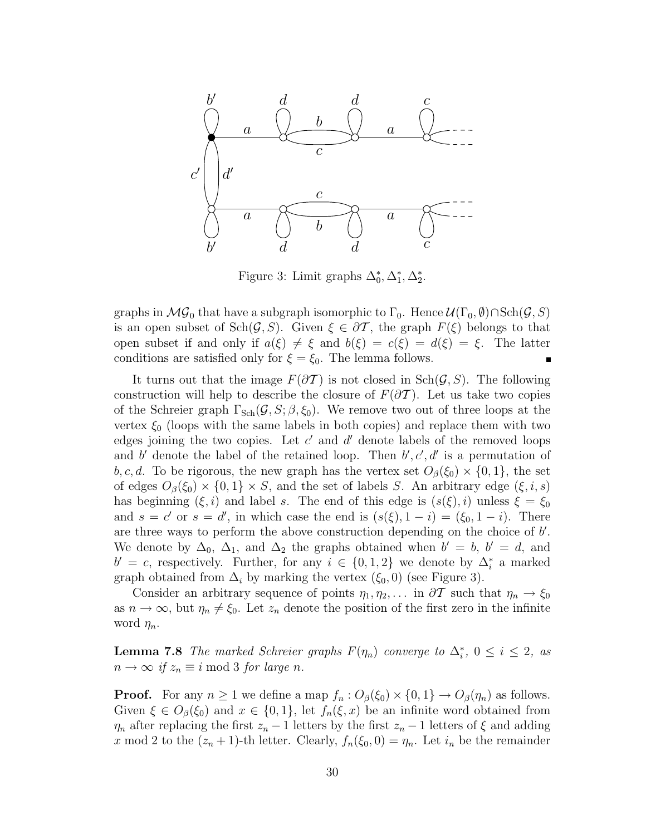

Figure 3: Limit graphs  $\Delta_0^*, \Delta_1^*, \Delta_2^*$ .

graphs in  $\mathcal{MG}_0$  that have a subgraph isomorphic to  $\Gamma_0$ . Hence  $\mathcal{U}(\Gamma_0,\emptyset) \cap \text{Sch}(\mathcal{G},S)$ is an open subset of  $\text{Sch}(\mathcal{G},S)$ . Given  $\xi \in \partial \mathcal{T}$ , the graph  $F(\xi)$  belongs to that open subset if and only if  $a(\xi) \neq \xi$  and  $b(\xi) = c(\xi) = d(\xi) = \xi$ . The latter conditions are satisfied only for  $\xi = \xi_0$ . The lemma follows.

It turns out that the image  $F(\partial \mathcal{T})$  is not closed in  $\text{Sch}(\mathcal{G},S)$ . The following construction will help to describe the closure of  $F(\partial \mathcal{T})$ . Let us take two copies of the Schreier graph  $\Gamma_{\text{Sch}}(\mathcal{G},S;\beta,\xi_0)$ . We remove two out of three loops at the vertex  $\xi_0$  (loops with the same labels in both copies) and replace them with two edges joining the two copies. Let  $c'$  and  $d'$  denote labels of the removed loops and b' denote the label of the retained loop. Then  $b', c', d'$  is a permutation of b, c, d. To be rigorous, the new graph has the vertex set  $O_\beta(\xi_0) \times \{0,1\}$ , the set of edges  $O_{\beta}(\xi_0) \times \{0,1\} \times S$ , and the set of labels S. An arbitrary edge  $(\xi, i, s)$ has beginning  $(\xi, i)$  and label s. The end of this edge is  $(s(\xi), i)$  unless  $\xi = \xi_0$ and  $s = c'$  or  $s = d'$ , in which case the end is  $(s(\xi), 1 - i) = (\xi_0, 1 - i)$ . There are three ways to perform the above construction depending on the choice of  $b'$ . We denote by  $\Delta_0$ ,  $\Delta_1$ , and  $\Delta_2$  the graphs obtained when  $b' = b$ ,  $b' = d$ , and  $b' = c$ , respectively. Further, for any  $i \in \{0, 1, 2\}$  we denote by  $\Delta_i^*$  a marked graph obtained from  $\Delta_i$  by marking the vertex  $(\xi_0, 0)$  (see Figure 3).

Consider an arbitrary sequence of points  $\eta_1, \eta_2, \ldots$  in  $\partial \mathcal{T}$  such that  $\eta_n \to \xi_0$ as  $n \to \infty$ , but  $\eta_n \neq \xi_0$ . Let  $z_n$  denote the position of the first zero in the infinite word  $\eta_n$ .

**Lemma 7.8** The marked Schreier graphs  $F(\eta_n)$  converge to  $\Delta_i^*$ ,  $0 \le i \le 2$ , as  $n \to \infty$  if  $z_n \equiv i \mod 3$  for large n.

**Proof.** For any  $n \ge 1$  we define a map  $f_n : O_{\beta}(\xi_0) \times \{0, 1\} \to O_{\beta}(\eta_n)$  as follows. Given  $\xi \in O_{\beta}(\xi_0)$  and  $x \in \{0,1\}$ , let  $f_n(\xi, x)$  be an infinite word obtained from  $\eta_n$  after replacing the first  $z_n - 1$  letters by the first  $z_n - 1$  letters of  $\xi$  and adding x mod 2 to the  $(z_n + 1)$ -th letter. Clearly,  $f_n(\xi_0, 0) = \eta_n$ . Let  $i_n$  be the remainder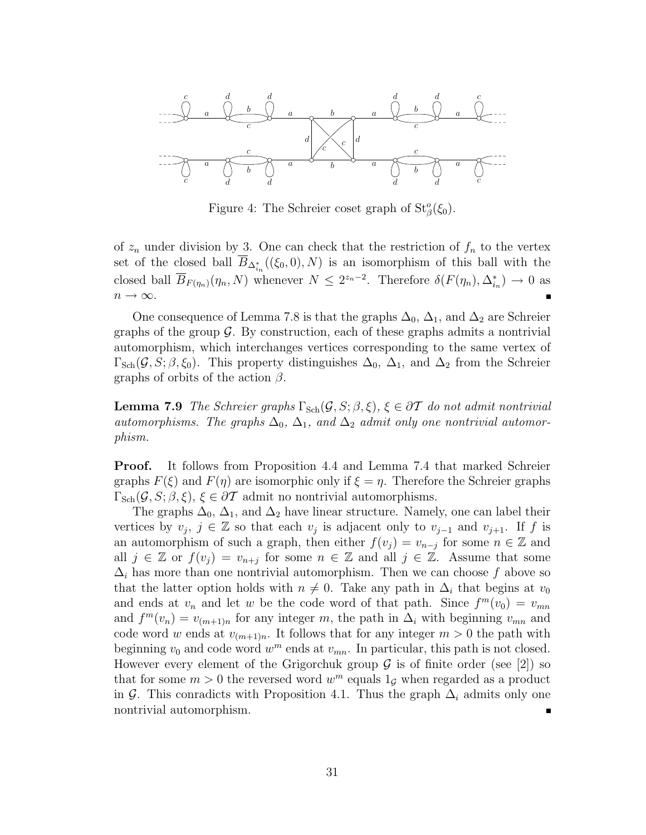

Figure 4: The Schreier coset graph of  $St^o_{\beta}(\xi_0)$ .

of  $z_n$  under division by 3. One can check that the restriction of  $f_n$  to the vertex set of the closed ball  $B_{\Delta_{i_n}^*}((\xi_0,0),N)$  is an isomorphism of this ball with the closed ball  $\overline{B}_{F(\eta_n)}(\eta_n, N)$  whenever  $N \leq 2^{z_n-2}$ . Therefore  $\delta(F(\eta_n), \Delta_{i_n}^*) \to 0$  as  $n \to \infty$ .

One consequence of Lemma 7.8 is that the graphs  $\Delta_0$ ,  $\Delta_1$ , and  $\Delta_2$  are Schreier graphs of the group  $\mathcal G$ . By construction, each of these graphs admits a nontrivial automorphism, which interchanges vertices corresponding to the same vertex of  $\Gamma_{\text{Sch}}(\mathcal{G},S;\beta,\xi_0)$ . This property distinguishes  $\Delta_0$ ,  $\Delta_1$ , and  $\Delta_2$  from the Schreier graphs of orbits of the action  $\beta$ .

**Lemma 7.9** The Schreier graphs  $\Gamma_{\text{Sch}}(\mathcal{G},S;\beta,\xi), \xi \in \partial \mathcal{T}$  do not admit nontrivial automorphisms. The graphs  $\Delta_0$ ,  $\Delta_1$ , and  $\Delta_2$  admit only one nontrivial automorphism.

Proof. It follows from Proposition 4.4 and Lemma 7.4 that marked Schreier graphs  $F(\xi)$  and  $F(\eta)$  are isomorphic only if  $\xi = \eta$ . Therefore the Schreier graphs  $\Gamma_{\text{Sch}}(\mathcal{G},S;\beta,\xi), \xi \in \partial \mathcal{T}$  admit no nontrivial automorphisms.

The graphs  $\Delta_0$ ,  $\Delta_1$ , and  $\Delta_2$  have linear structure. Namely, one can label their vertices by  $v_j, j \in \mathbb{Z}$  so that each  $v_j$  is adjacent only to  $v_{j-1}$  and  $v_{j+1}$ . If f is an automorphism of such a graph, then either  $f(v_j) = v_{n-j}$  for some  $n \in \mathbb{Z}$  and all  $j \in \mathbb{Z}$  or  $f(v_j) = v_{n+j}$  for some  $n \in \mathbb{Z}$  and all  $j \in \mathbb{Z}$ . Assume that some  $\Delta_i$  has more than one nontrivial automorphism. Then we can choose f above so that the latter option holds with  $n \neq 0$ . Take any path in  $\Delta_i$  that begins at  $v_0$ and ends at  $v_n$  and let w be the code word of that path. Since  $f^m(v_0) = v_{mn}$ and  $f^m(v_n) = v_{(m+1)n}$  for any integer m, the path in  $\Delta_i$  with beginning  $v_{mn}$  and code word w ends at  $v_{(m+1)n}$ . It follows that for any integer  $m > 0$  the path with beginning  $v_0$  and code word  $w^m$  ends at  $v_{mn}$ . In particular, this path is not closed. However every element of the Grigorchuk group  $\mathcal G$  is of finite order (see [2]) so that for some  $m > 0$  the reversed word  $w^m$  equals  $1<sub>G</sub>$  when regarded as a product in G. This conradicts with Proposition 4.1. Thus the graph  $\Delta_i$  admits only one nontrivial automorphism.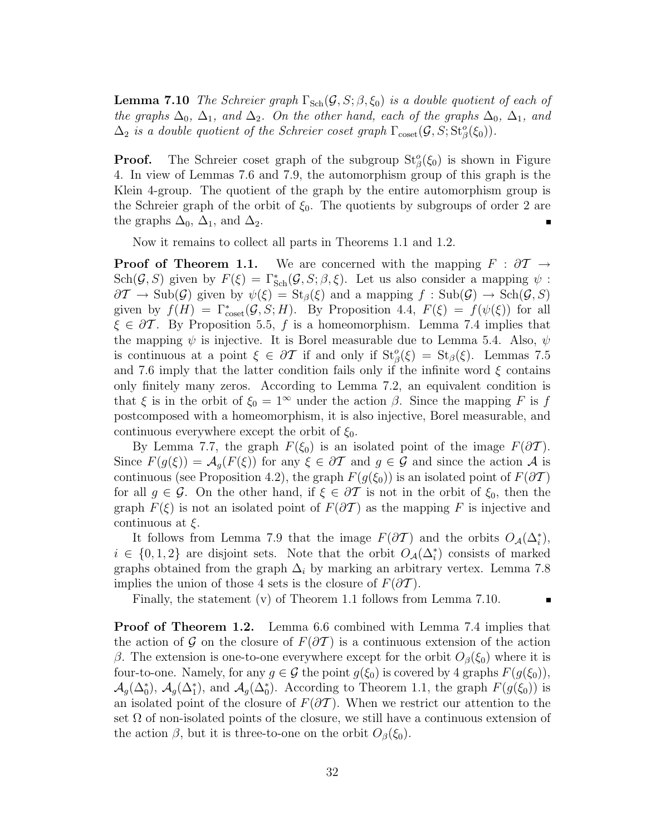**Lemma 7.10** The Schreier graph  $\Gamma_{\text{Sch}}(\mathcal{G},S;\beta,\xi_0)$  is a double quotient of each of the graphs  $\Delta_0$ ,  $\Delta_1$ , and  $\Delta_2$ . On the other hand, each of the graphs  $\Delta_0$ ,  $\Delta_1$ , and  $\Delta_2$  is a double quotient of the Schreier coset graph  $\Gamma_{\text{coset}}(\mathcal{G}, S; St^o_{\beta}(\xi_0)).$ 

**Proof.** The Schreier coset graph of the subgroup  $St^o_{\beta}(\xi_0)$  is shown in Figure 4. In view of Lemmas 7.6 and 7.9, the automorphism group of this graph is the Klein 4-group. The quotient of the graph by the entire automorphism group is the Schreier graph of the orbit of  $\xi_0$ . The quotients by subgroups of order 2 are the graphs  $\Delta_0$ ,  $\Delta_1$ , and  $\Delta_2$ .

Now it remains to collect all parts in Theorems 1.1 and 1.2.

**Proof of Theorem 1.1.** We are concerned with the mapping  $F : \partial T \to$ Sch(G, S) given by  $F(\xi) = \Gamma_{Sch}^*(\mathcal{G}, S; \beta, \xi)$ . Let us also consider a mapping  $\psi$ :  $\partial \mathcal{I} \to \text{Sub}(\mathcal{G})$  given by  $\psi(\xi) = \text{St}_{\beta}(\xi)$  and a mapping  $f : \text{Sub}(\mathcal{G}) \to \text{Sch}(\mathcal{G}, S)$ given by  $f(H) = \Gamma^*_{\text{coset}}(\mathcal{G}, S; H)$ . By Proposition 4.4,  $F(\xi) = f(\psi(\xi))$  for all  $\xi \in \partial \mathcal{T}$ . By Proposition 5.5, f is a homeomorphism. Lemma 7.4 implies that the mapping  $\psi$  is injective. It is Borel measurable due to Lemma 5.4. Also,  $\psi$ is continuous at a point  $\xi \in \partial \mathcal{T}$  if and only if  $St^o_{\beta}(\xi) = St_{\beta}(\xi)$ . Lemmas 7.5 and 7.6 imply that the latter condition fails only if the infinite word  $\xi$  contains only finitely many zeros. According to Lemma 7.2, an equivalent condition is that  $\xi$  is in the orbit of  $\xi_0 = 1^\infty$  under the action  $\beta$ . Since the mapping F is f postcomposed with a homeomorphism, it is also injective, Borel measurable, and continuous everywhere except the orbit of  $\xi_0$ .

By Lemma 7.7, the graph  $F(\xi_0)$  is an isolated point of the image  $F(\partial \mathcal{T})$ . Since  $F(g(\xi)) = \mathcal{A}_g(F(\xi))$  for any  $\xi \in \partial \mathcal{T}$  and  $g \in \mathcal{G}$  and since the action  $\mathcal{A}$  is continuous (see Proposition 4.2), the graph  $F(g(\xi_0))$  is an isolated point of  $F(\partial \mathcal{T})$ for all  $g \in \mathcal{G}$ . On the other hand, if  $\xi \in \partial \mathcal{T}$  is not in the orbit of  $\xi_0$ , then the graph  $F(\xi)$  is not an isolated point of  $F(\partial \mathcal{T})$  as the mapping F is injective and continuous at  $\xi$ .

It follows from Lemma 7.9 that the image  $F(\partial \mathcal{T})$  and the orbits  $O_{\mathcal{A}}(\Delta_i^*),$  $i \in \{0,1,2\}$  are disjoint sets. Note that the orbit  $O_{\mathcal{A}}(\Delta_i^*)$  consists of marked graphs obtained from the graph  $\Delta_i$  by marking an arbitrary vertex. Lemma 7.8 implies the union of those 4 sets is the closure of  $F(\partial \mathcal{T})$ .

Finally, the statement (v) of Theorem 1.1 follows from Lemma 7.10.

 $\blacksquare$ 

**Proof of Theorem 1.2.** Lemma 6.6 combined with Lemma 7.4 implies that the action of G on the closure of  $F(\partial \mathcal{T})$  is a continuous extension of the action β. The extension is one-to-one everywhere except for the orbit  $O_β(\xi_0)$  where it is four-to-one. Namely, for any  $g \in \mathcal{G}$  the point  $g(\xi_0)$  is covered by 4 graphs  $F(g(\xi_0))$ ,  $\mathcal{A}_g(\Delta_0^*), \mathcal{A}_g(\Delta_1^*)$ , and  $\mathcal{A}_g(\Delta_0^*)$ . According to Theorem 1.1, the graph  $F(g(\xi_0))$  is an isolated point of the closure of  $F(\partial \mathcal{T})$ . When we restrict our attention to the set  $\Omega$  of non-isolated points of the closure, we still have a continuous extension of the action  $\beta$ , but it is three-to-one on the orbit  $O_{\beta}(\xi_0)$ .